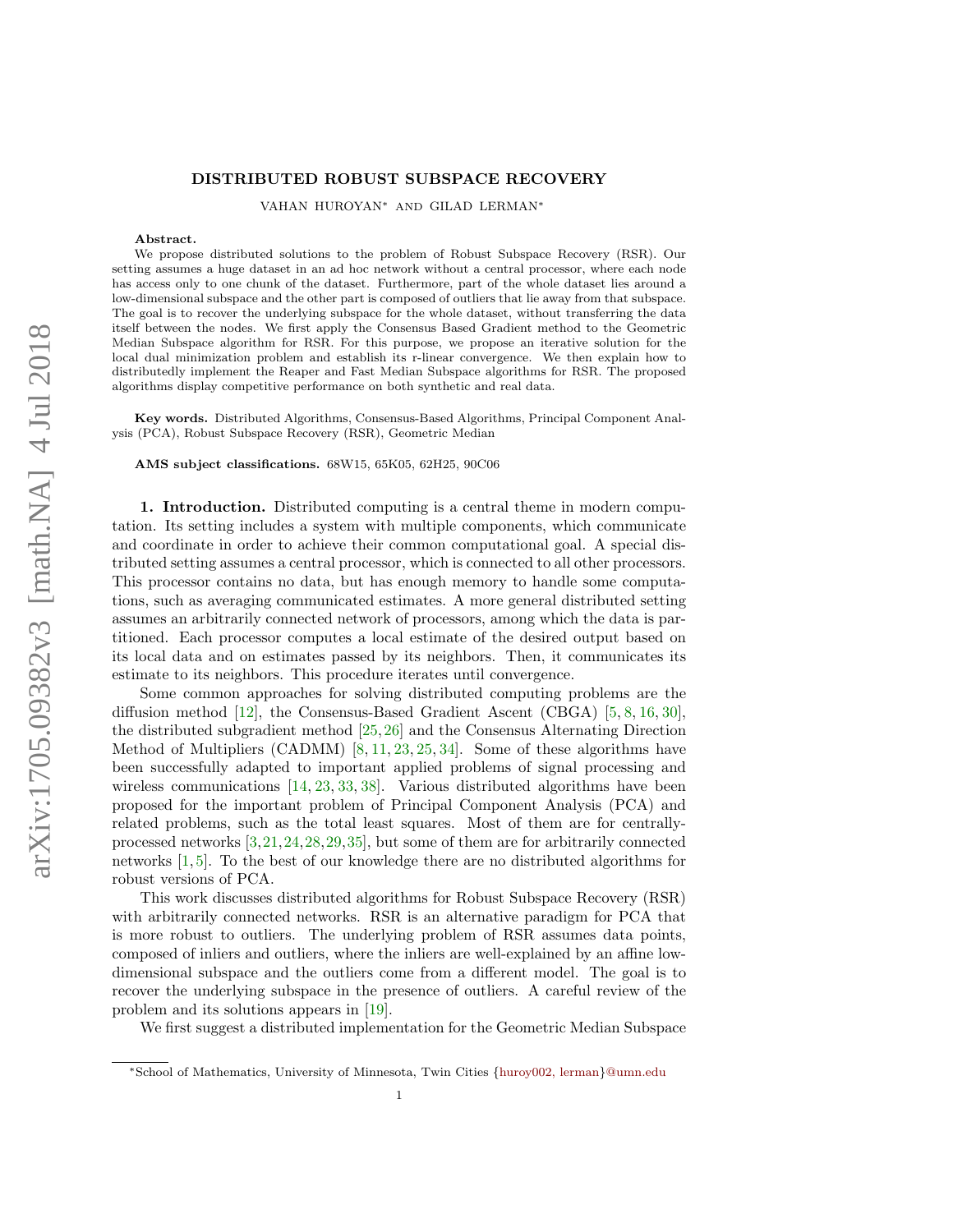# DISTRIBUTED ROBUST SUBSPACE RECOVERY

VAHAN HUROYAN<sup>∗</sup> AND GILAD LERMAN<sup>∗</sup>

#### Abstract.

We propose distributed solutions to the problem of Robust Subspace Recovery (RSR). Our setting assumes a huge dataset in an ad hoc network without a central processor, where each node has access only to one chunk of the dataset. Furthermore, part of the whole dataset lies around a low-dimensional subspace and the other part is composed of outliers that lie away from that subspace. The goal is to recover the underlying subspace for the whole dataset, without transferring the data itself between the nodes. We first apply the Consensus Based Gradient method to the Geometric Median Subspace algorithm for RSR. For this purpose, we propose an iterative solution for the local dual minimization problem and establish its r-linear convergence. We then explain how to distributedly implement the Reaper and Fast Median Subspace algorithms for RSR. The proposed algorithms display competitive performance on both synthetic and real data.

Key words. Distributed Algorithms, Consensus-Based Algorithms, Principal Component Analysis (PCA), Robust Subspace Recovery (RSR), Geometric Median

AMS subject classifications. 68W15, 65K05, 62H25, 90C06

1. Introduction. Distributed computing is a central theme in modern computation. Its setting includes a system with multiple components, which communicate and coordinate in order to achieve their common computational goal. A special distributed setting assumes a central processor, which is connected to all other processors. This processor contains no data, but has enough memory to handle some computations, such as averaging communicated estimates. A more general distributed setting assumes an arbitrarily connected network of processors, among which the data is partitioned. Each processor computes a local estimate of the desired output based on its local data and on estimates passed by its neighbors. Then, it communicates its estimate to its neighbors. This procedure iterates until convergence.

Some common approaches for solving distributed computing problems are the diffusion method [\[12\]](#page-22-0), the Consensus-Based Gradient Ascent (CBGA) [\[5,](#page-22-1) [8,](#page-22-2) [16,](#page-22-3) [30\]](#page-22-4), the distributed subgradient method [\[25,](#page-22-5)[26\]](#page-22-6) and the Consensus Alternating Direction Method of Multipliers (CADMM) [\[8,](#page-22-2) [11,](#page-22-7) [23,](#page-22-8) [25,](#page-22-5) [34\]](#page-23-0). Some of these algorithms have been successfully adapted to important applied problems of signal processing and wireless communications [\[14,](#page-22-9) [23,](#page-22-8) [33,](#page-23-1) [38\]](#page-23-2). Various distributed algorithms have been proposed for the important problem of Principal Component Analysis (PCA) and related problems, such as the total least squares. Most of them are for centrallyprocessed networks [\[3,](#page-21-0)[21,](#page-22-10)[24,](#page-22-11)[28,](#page-22-12)[29,](#page-22-13)[35\]](#page-23-3), but some of them are for arbitrarily connected networks [\[1,](#page-21-1) [5\]](#page-22-1). To the best of our knowledge there are no distributed algorithms for robust versions of PCA.

This work discusses distributed algorithms for Robust Subspace Recovery (RSR) with arbitrarily connected networks. RSR is an alternative paradigm for PCA that is more robust to outliers. The underlying problem of RSR assumes data points, composed of inliers and outliers, where the inliers are well-explained by an affine lowdimensional subspace and the outliers come from a different model. The goal is to recover the underlying subspace in the presence of outliers. A careful review of the problem and its solutions appears in [\[19\]](#page-22-14).

We first suggest a distributed implementation for the Geometric Median Subspace

<sup>∗</sup>School of Mathematics, University of Minnesota, Twin Cities {[huroy002, lerman](mailto:huroy002, lerman)}[@umn.edu](mailto:@umn.edu)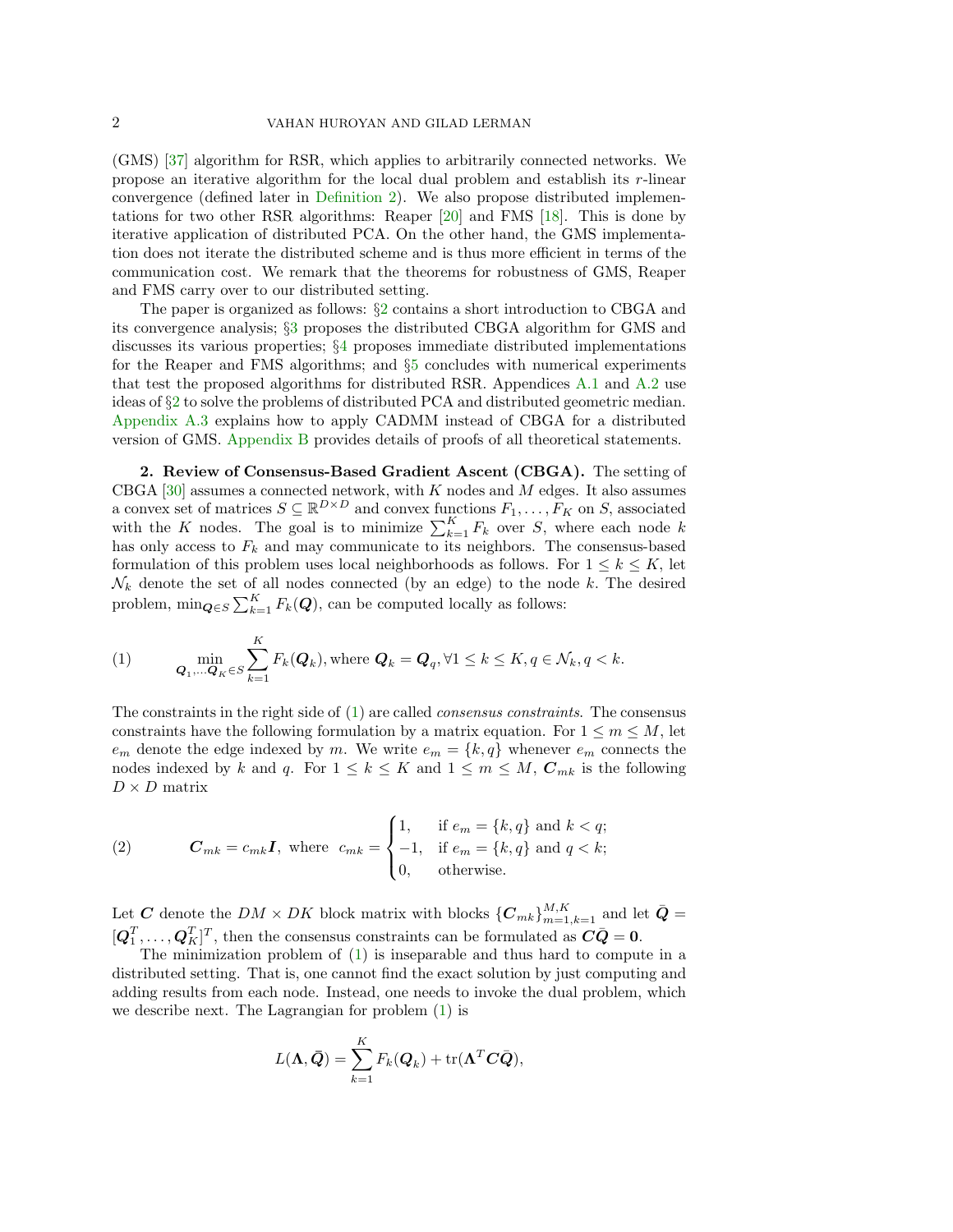(GMS) [\[37\]](#page-23-4) algorithm for RSR, which applies to arbitrarily connected networks. We propose an iterative algorithm for the local dual problem and establish its r-linear convergence (defined later in [Definition 2\)](#page-6-0). We also propose distributed implementations for two other RSR algorithms: Reaper [\[20\]](#page-22-15) and FMS [\[18\]](#page-22-16). This is done by iterative application of distributed PCA. On the other hand, the GMS implementation does not iterate the distributed scheme and is thus more efficient in terms of the communication cost. We remark that the theorems for robustness of GMS, Reaper and FMS carry over to our distributed setting.

The paper is organized as follows:  $\S2$  $\S2$  contains a short introduction to CBGA and its convergence analysis; §[3](#page-2-0) proposes the distributed CBGA algorithm for GMS and discusses its various properties; §[4](#page-6-1) proposes immediate distributed implementations for the Reaper and FMS algorithms; and §[5](#page-8-0) concludes with numerical experiments that test the proposed algorithms for distributed RSR. Appendices [A.1](#page-12-0) and [A.2](#page-13-0) use ideas of §[2](#page-1-0) to solve the problems of distributed PCA and distributed geometric median. [Appendix A.3](#page-14-0) explains how to apply CADMM instead of CBGA for a distributed version of GMS. [Appendix B](#page-14-1) provides details of proofs of all theoretical statements.

<span id="page-1-0"></span>2. Review of Consensus-Based Gradient Ascent (CBGA). The setting of CBGA  $[30]$  assumes a connected network, with K nodes and M edges. It also assumes a convex set of matrices  $S \subseteq \mathbb{R}^{D \times D}$  and convex functions  $F_1, \ldots, F_K$  on S, associated with the K nodes. The goal is to minimize  $\sum_{k=1}^{K} F_k$  over S, where each node k has only access to  $F_k$  and may communicate to its neighbors. The consensus-based formulation of this problem uses local neighborhoods as follows. For  $1 \leq k \leq K$ , let  $\mathcal{N}_k$  denote the set of all nodes connected (by an edge) to the node k. The desired problem,  $\min_{\mathbf{Q} \in S} \sum_{k=1}^{K} F_k(\mathbf{Q})$ , can be computed locally as follows:

<span id="page-1-1"></span>(1) 
$$
\min_{\mathbf{Q}_1,\dots,\mathbf{Q}_K \in S} \sum_{k=1}^K F_k(\mathbf{Q}_k), \text{ where } \mathbf{Q}_k = \mathbf{Q}_q, \forall 1 \leq k \leq K, q \in \mathcal{N}_k, q < k.
$$

The constraints in the right side of [\(1\)](#page-1-1) are called consensus constraints. The consensus constraints have the following formulation by a matrix equation. For  $1 \leq m \leq M$ , let  $e_m$  denote the edge indexed by m. We write  $e_m = \{k, q\}$  whenever  $e_m$  connects the nodes indexed by k and q. For  $1 \leq k \leq K$  and  $1 \leq m \leq M$ ,  $C_{mk}$  is the following  $D \times D$  matrix

<span id="page-1-2"></span>(2) 
$$
C_{mk} = c_{mk}I, \text{ where } c_{mk} = \begin{cases} 1, & \text{if } e_m = \{k, q\} \text{ and } k < q; \\ -1, & \text{if } e_m = \{k, q\} \text{ and } q < k; \\ 0, & \text{otherwise.} \end{cases}
$$

Let C denote the  $DM \times DK$  block matrix with blocks  ${C_{mk}}_{m=1,k=1}^{M,K}$  and let  $\bar{Q}$  =  $[Q_1^T, \ldots, Q_K^T]^T$ , then the consensus constraints can be formulated as  $C\overline{Q} = 0$ .

The minimization problem of [\(1\)](#page-1-1) is inseparable and thus hard to compute in a distributed setting. That is, one cannot find the exact solution by just computing and adding results from each node. Instead, one needs to invoke the dual problem, which we describe next. The Lagrangian for problem [\(1\)](#page-1-1) is

$$
L(\mathbf{\Lambda}, \bar{\mathbf{Q}}) = \sum_{k=1}^{K} F_k(\mathbf{Q}_k) + \text{tr}(\mathbf{\Lambda}^T \mathbf{C} \bar{\mathbf{Q}}),
$$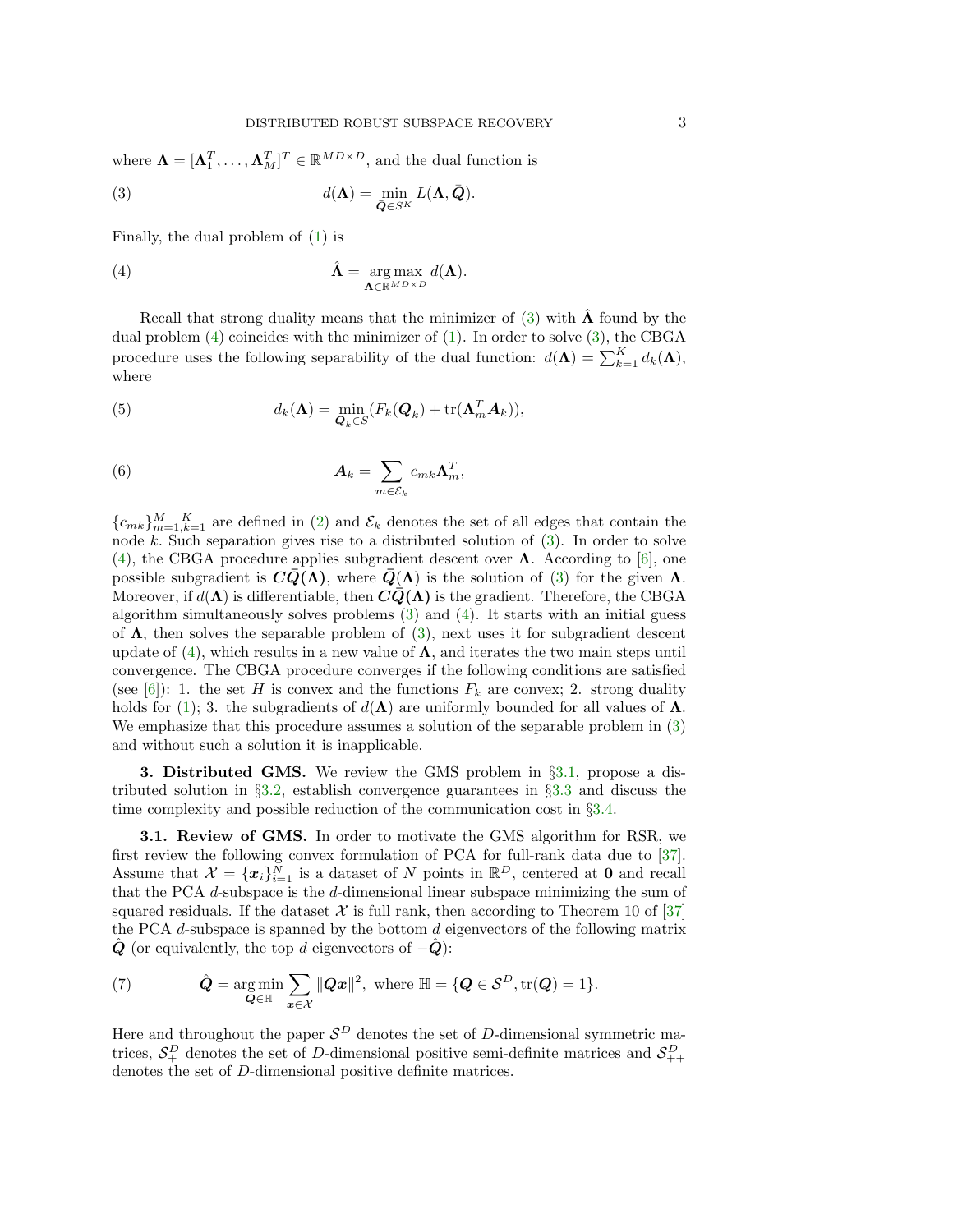where  $\mathbf{\Lambda} = [\mathbf{\Lambda}_1^T, \dots, \mathbf{\Lambda}_M^T]^T \in \mathbb{R}^{MD \times D}$ , and the dual function is

<span id="page-2-1"></span>(3) 
$$
d(\mathbf{\Lambda}) = \min_{\bar{\mathbf{Q}} \in S^K} L(\mathbf{\Lambda}, \bar{\mathbf{Q}}).
$$

Finally, the dual problem of [\(1\)](#page-1-1) is

<span id="page-2-2"></span>(4) 
$$
\hat{\Lambda} = \underset{\mathbf{\Lambda} \in \mathbb{R}^{MD \times D}}{\arg \max} d(\mathbf{\Lambda}).
$$

Recall that strong duality means that the minimizer of [\(3\)](#page-2-1) with  $\hat{\Lambda}$  found by the dual problem  $(4)$  coincides with the minimizer of  $(1)$ . In order to solve  $(3)$ , the CBGA procedure uses the following separability of the dual function:  $d(\mathbf{\Lambda}) = \sum_{k=1}^{K} d_k(\mathbf{\Lambda}),$ where

<span id="page-2-5"></span>(5) 
$$
d_k(\mathbf{\Lambda}) = \min_{\mathbf{Q}_k \in S} (F_k(\mathbf{Q}_k) + \text{tr}(\mathbf{\Lambda}_m^T \mathbf{A}_k)),
$$

<span id="page-2-6"></span>(6) 
$$
\mathbf{A}_k = \sum_{m \in \mathcal{E}_k} c_{mk} \mathbf{\Lambda}_m^T,
$$

 ${c_{mk}}_{m=1,k=1}^M$  are defined in [\(2\)](#page-1-2) and  $\mathcal{E}_k$  denotes the set of all edges that contain the node k. Such separation gives rise to a distributed solution of  $(3)$ . In order to solve [\(4\)](#page-2-2), the CBGA procedure applies subgradient descent over  $\Lambda$ . According to [\[6\]](#page-22-17), one possible subgradient is  $C\overline{Q}(\Lambda)$ , where  $\overline{Q}(\Lambda)$  is the solution of [\(3\)](#page-2-1) for the given  $\Lambda$ . Moreover, if  $d(\Lambda)$  is differentiable, then  $CQ(\Lambda)$  is the gradient. Therefore, the CBGA algorithm simultaneously solves problems  $(3)$  and  $(4)$ . It starts with an initial guess of  $\Lambda$ , then solves the separable problem of [\(3\)](#page-2-1), next uses it for subgradient descent update of [\(4\)](#page-2-2), which results in a new value of  $\Lambda$ , and iterates the two main steps until convergence. The CBGA procedure converges if the following conditions are satisfied (see [\[6\]](#page-22-17)): 1. the set H is convex and the functions  $F_k$  are convex; 2. strong duality holds for [\(1\)](#page-1-1); 3. the subgradients of  $d(\Lambda)$  are uniformly bounded for all values of  $\Lambda$ . We emphasize that this procedure assumes a solution of the separable problem in [\(3\)](#page-2-1) and without such a solution it is inapplicable.

<span id="page-2-0"></span>**3. Distributed GMS.** We review the GMS problem in  $\S 3.1$ , propose a distributed solution in §[3.2,](#page-3-0) establish convergence guarantees in §[3.3](#page-6-2) and discuss the time complexity and possible reduction of the communication cost in  $\S 3.4$ .

<span id="page-2-3"></span>3.1. Review of GMS. In order to motivate the GMS algorithm for RSR, we first review the following convex formulation of PCA for full-rank data due to [\[37\]](#page-23-4). Assume that  $\mathcal{X} = {\{\mathbf{x}_i\}}_{i=1}^N$  is a dataset of N points in  $\mathbb{R}^D$ , centered at 0 and recall that the PCA d-subspace is the d-dimensional linear subspace minimizing the sum of squared residuals. If the dataset  $\mathcal X$  is full rank, then according to Theorem 10 of [\[37\]](#page-23-4) the PCA  $d$ -subspace is spanned by the bottom  $d$  eigenvectors of the following matrix  $\hat{\mathbf{Q}}$  (or equivalently, the top d eigenvectors of  $-\hat{\mathbf{Q}}$ ):

<span id="page-2-4"></span>(7) 
$$
\hat{Q} = \underset{Q \in \mathbb{H}}{\arg \min} \sum_{x \in \mathcal{X}} \|Qx\|^2, \text{ where } \mathbb{H} = \{Q \in \mathcal{S}^D, \text{tr}(Q) = 1\}.
$$

Here and throughout the paper  $S^D$  denotes the set of D-dimensional symmetric matrices,  $S_+^D$  denotes the set of D-dimensional positive semi-definite matrices and  $S_{++}^D$ denotes the set of D-dimensional positive definite matrices.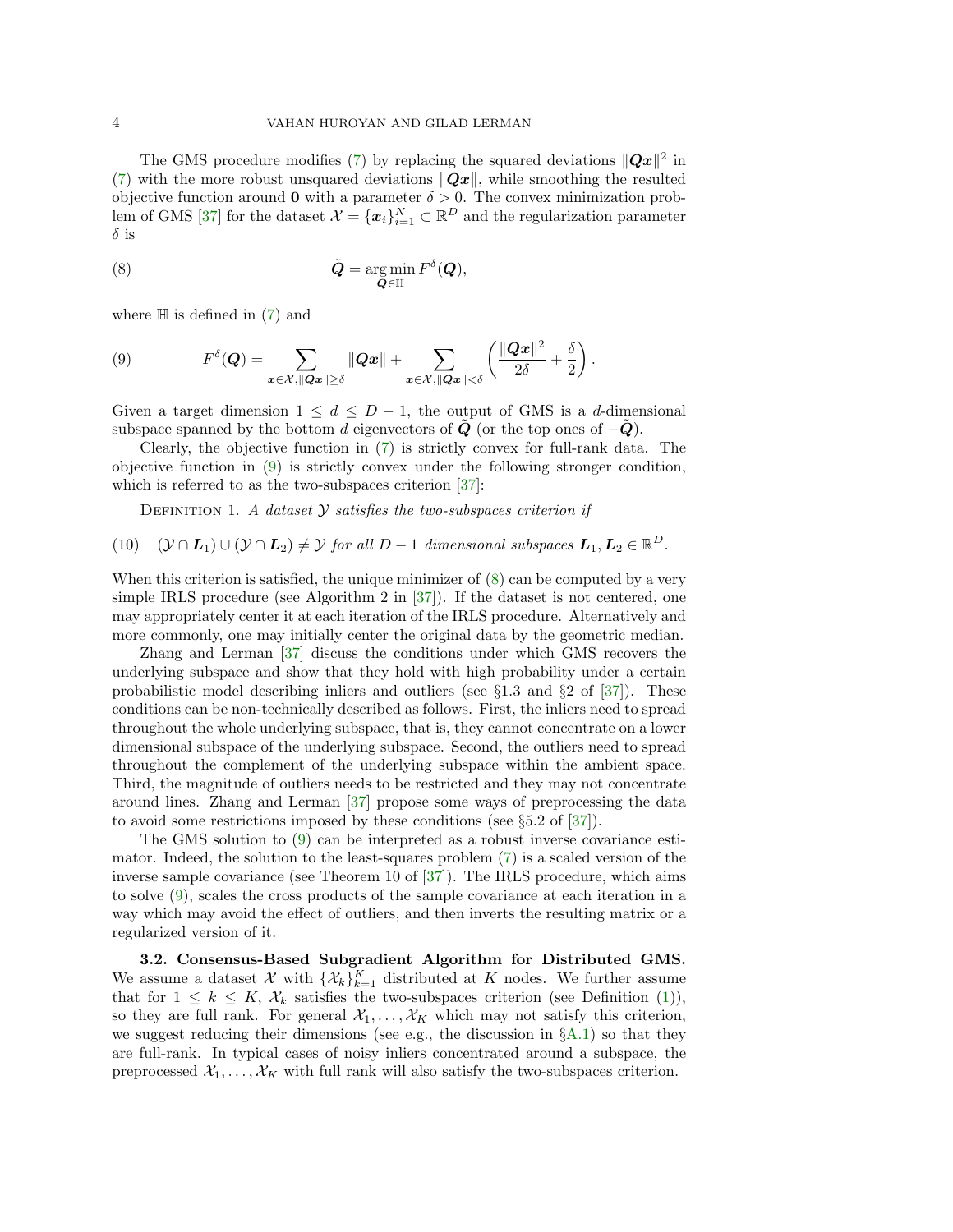The GMS procedure modifies [\(7\)](#page-2-4) by replacing the squared deviations  $||Qx||^2$  in [\(7\)](#page-2-4) with the more robust unsquared deviations  $\|\boldsymbol{Qx}\|$ , while smoothing the resulted objective function around **0** with a parameter  $\delta > 0$ . The convex minimization prob-lem of GMS [\[37\]](#page-23-4) for the dataset  $\mathcal{X} = {\{\boldsymbol{x}_i\}}_{i=1}^N \subset \mathbb{R}^D$  and the regularization parameter  $\delta$  is

<span id="page-3-2"></span>(8) 
$$
\tilde{\boldsymbol{Q}} = \underset{\boldsymbol{Q} \in \mathbb{H}}{\arg \min} F^{\delta}(\boldsymbol{Q}),
$$

where  $\mathbb H$  is defined in [\(7\)](#page-2-4) and

<span id="page-3-1"></span>(9) 
$$
F^{\delta}(\mathbf{Q}) = \sum_{\mathbf{x} \in \mathcal{X}, ||\mathbf{Q}\mathbf{x}|| \geq \delta} ||\mathbf{Q}\mathbf{x}|| + \sum_{\mathbf{x} \in \mathcal{X}, ||\mathbf{Q}\mathbf{x}|| < \delta} \left( \frac{||\mathbf{Q}\mathbf{x}||^2}{2\delta} + \frac{\delta}{2} \right).
$$

Given a target dimension  $1 \leq d \leq D-1$ , the output of GMS is a d-dimensional subspace spanned by the bottom d eigenvectors of  $\tilde{Q}$  (or the top ones of  $-\tilde{Q}$ ).

Clearly, the objective function in [\(7\)](#page-2-4) is strictly convex for full-rank data. The objective function in [\(9\)](#page-3-1) is strictly convex under the following stronger condition, which is referred to as the two-subspaces criterion [\[37\]](#page-23-4):

<span id="page-3-3"></span>DEFINITION 1. A dataset  $Y$  satisfies the two-subspaces criterion if

(10) 
$$
(\mathcal{Y} \cap L_1) \cup (\mathcal{Y} \cap L_2) \neq \mathcal{Y}
$$
 for all  $D-1$  dimensional subspaces  $L_1, L_2 \in \mathbb{R}^D$ .

When this criterion is satisfied, the unique minimizer of  $(8)$  can be computed by a very simple IRLS procedure (see Algorithm 2 in [\[37\]](#page-23-4)). If the dataset is not centered, one may appropriately center it at each iteration of the IRLS procedure. Alternatively and more commonly, one may initially center the original data by the geometric median.

Zhang and Lerman [\[37\]](#page-23-4) discuss the conditions under which GMS recovers the underlying subspace and show that they hold with high probability under a certain probabilistic model describing inliers and outliers (see  $\S1.3$  and  $\S2$  of [\[37\]](#page-23-4)). These conditions can be non-technically described as follows. First, the inliers need to spread throughout the whole underlying subspace, that is, they cannot concentrate on a lower dimensional subspace of the underlying subspace. Second, the outliers need to spread throughout the complement of the underlying subspace within the ambient space. Third, the magnitude of outliers needs to be restricted and they may not concentrate around lines. Zhang and Lerman [\[37\]](#page-23-4) propose some ways of preprocessing the data to avoid some restrictions imposed by these conditions (see §5.2 of [\[37\]](#page-23-4)).

The GMS solution to [\(9\)](#page-3-1) can be interpreted as a robust inverse covariance estimator. Indeed, the solution to the least-squares problem [\(7\)](#page-2-4) is a scaled version of the inverse sample covariance (see Theorem 10 of [\[37\]](#page-23-4)). The IRLS procedure, which aims to solve [\(9\)](#page-3-1), scales the cross products of the sample covariance at each iteration in a way which may avoid the effect of outliers, and then inverts the resulting matrix or a regularized version of it.

<span id="page-3-0"></span>3.2. Consensus-Based Subgradient Algorithm for Distributed GMS. We assume a dataset  $\mathcal{X}$  with  $\{\mathcal{X}_k\}_{k=1}^K$  distributed at K nodes. We further assume that for  $1 \leq k \leq K$ ,  $\mathcal{X}_k$  satisfies the two-subspaces criterion (see Definition [\(1\)](#page-3-3)), so they are full rank. For general  $\mathcal{X}_1, \ldots, \mathcal{X}_K$  which may not satisfy this criterion, we suggest reducing their dimensions (see e.g., the discussion in §[A.1\)](#page-12-0) so that they are full-rank. In typical cases of noisy inliers concentrated around a subspace, the preprocessed  $\mathcal{X}_1, \ldots, \mathcal{X}_K$  with full rank will also satisfy the two-subspaces criterion.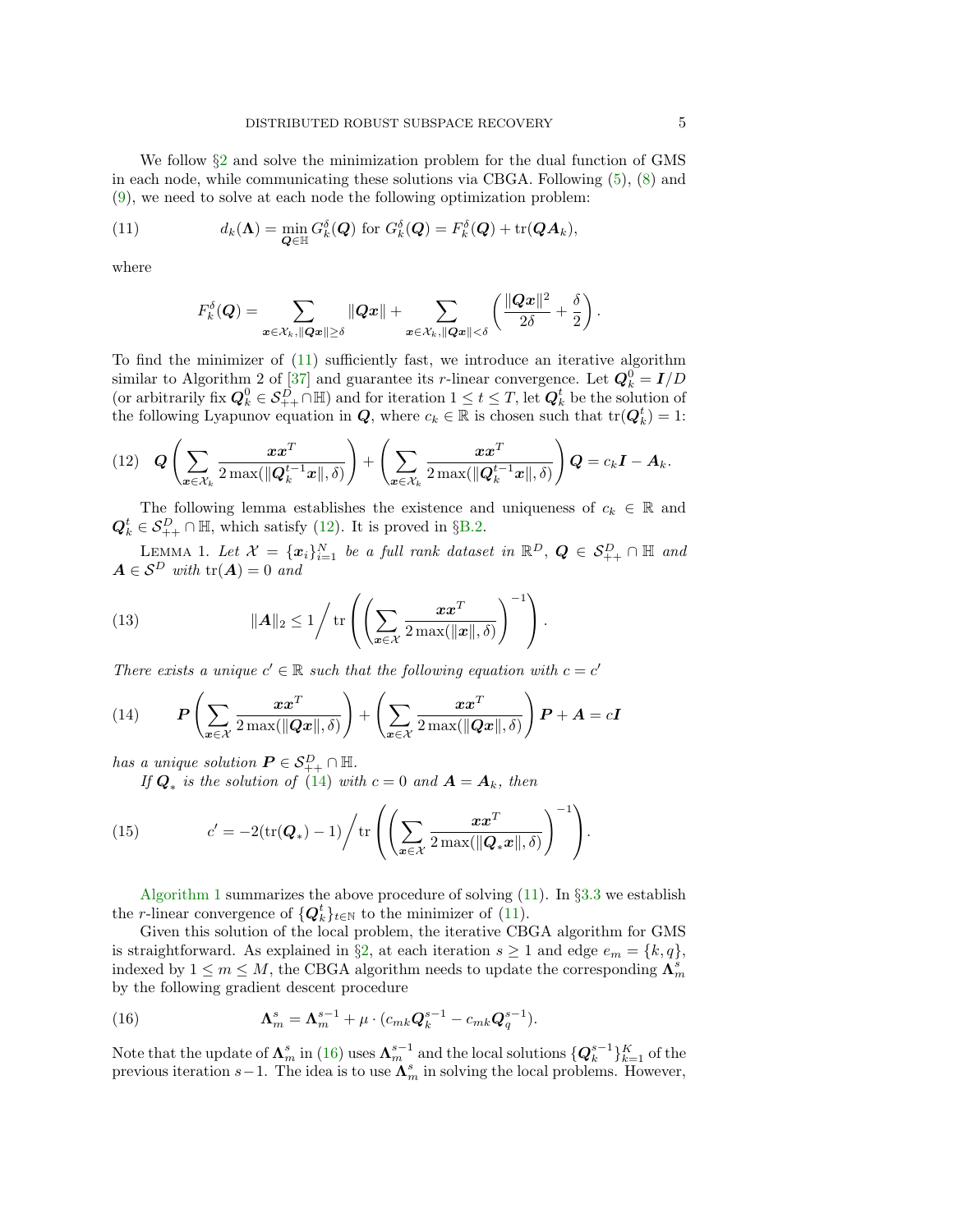We follow  $\S2$  $\S2$  and solve the minimization problem for the dual function of GMS in each node, while communicating these solutions via CBGA. Following [\(5\)](#page-2-5), [\(8\)](#page-3-2) and [\(9\)](#page-3-1), we need to solve at each node the following optimization problem:

(11) 
$$
d_k(\mathbf{\Lambda}) = \min_{\mathbf{Q} \in \mathbb{H}} G_k^{\delta}(\mathbf{Q}) \text{ for } G_k^{\delta}(\mathbf{Q}) = F_k^{\delta}(\mathbf{Q}) + \text{tr}(\mathbf{Q}\mathbf{\Lambda}_k),
$$

where

<span id="page-4-0"></span>
$$
F_k^\delta(\boldsymbol{Q}) = \sum_{\boldsymbol{x} \in \mathcal{X}_k, \|\boldsymbol{Q} \boldsymbol{x}\| \geq \delta} \| \boldsymbol{Q} \boldsymbol{x} \| + \sum_{\boldsymbol{x} \in \mathcal{X}_k, \|\boldsymbol{Q} \boldsymbol{x}\| < \delta} \left( \frac{\|\boldsymbol{Q} \boldsymbol{x}\|^2}{2 \delta} + \frac{\delta}{2} \right).
$$

To find the minimizer of [\(11\)](#page-4-0) sufficiently fast, we introduce an iterative algorithm similar to Algorithm 2 of  $[37]$  and guarantee its r-linear convergence. Let  $\mathbf{Q}_k^0 = \mathbf{I}/D$ (or arbitrarily fix  $Q_k^0 \in S_{++}^{\overrightarrow{D}} \cap \mathbb{H}$ ) and for iteration  $1 \leq t \leq T$ , let  $Q_k^t$  be the solution of the following Lyapunov equation in  $Q$ , where  $c_k \in \mathbb{R}$  is chosen such that  $tr(Q_k^t) = 1$ :

<span id="page-4-1"></span>
$$
(12) \quad \boldsymbol{Q} \left( \sum_{\boldsymbol{x} \in \mathcal{X}_k} \frac{\boldsymbol{x} \boldsymbol{x}^T}{2 \max(\|\boldsymbol{Q}_k^{t-1} \boldsymbol{x}\|, \delta)} \right) + \left( \sum_{\boldsymbol{x} \in \mathcal{X}_k} \frac{\boldsymbol{x} \boldsymbol{x}^T}{2 \max(\|\boldsymbol{Q}_k^{t-1} \boldsymbol{x}\|, \delta)} \right) \boldsymbol{Q} = c_k \boldsymbol{I} - \boldsymbol{A}_k.
$$

The following lemma establishes the existence and uniqueness of  $c_k \in \mathbb{R}$  and  $\mathbf{Q}_k^t \in \mathcal{S}_{++}^D \cap \mathbb{H}$ , which satisfy [\(12\)](#page-4-1). It is proved in §[B.2.](#page-15-0)

LEMMA 1. Let  $\mathcal{X} = \{x_i\}_{i=1}^N$  be a full rank dataset in  $\mathbb{R}^D$ ,  $Q \in \mathcal{S}_{++}^D \cap \mathbb{H}$  and  $\mathbf{A} \in \mathcal{S}^D$  with  $\text{tr}(\mathbf{A}) = 0$  and

<span id="page-4-4"></span>(13) 
$$
\|\mathbf{A}\|_2 \leq 1 \bigg/ \operatorname{tr} \left( \left( \sum_{\mathbf{x} \in \mathcal{X}} \frac{\mathbf{x} \mathbf{x}^T}{2 \max(\|\mathbf{x}\|, \delta)} \right)^{-1} \right).
$$

There exists a unique  $c' \in \mathbb{R}$  such that the following equation with  $c = c'$ 

<span id="page-4-2"></span>(14) 
$$
P\left(\sum_{x\in\mathcal{X}}\frac{xx^T}{2\max(\Vert\boldsymbol{Q}x\Vert,\delta)}\right)+\left(\sum_{x\in\mathcal{X}}\frac{xx^T}{2\max(\Vert\boldsymbol{Q}x\Vert,\delta)}\right)\boldsymbol{P}+\boldsymbol{A}=c\boldsymbol{I}
$$

has a unique solution  $P \in \mathcal{S}_{++}^D \cap \mathbb{H}$ .

<span id="page-4-5"></span>If  $\mathbf{Q}_{*}$  is the solution of [\(14\)](#page-4-2) with  $c=0$  and  $\mathbf{A}=\mathbf{A}_{k}$ , then

(15) 
$$
c' = -2(\text{tr}(\boldsymbol{Q}_*)-1)\bigg/\text{tr}\left(\left(\sum_{\boldsymbol{x}\in\mathcal{X}}\frac{\boldsymbol{x}\boldsymbol{x}^T}{2\max(\|\boldsymbol{Q}_*\boldsymbol{x}\|,\delta)}\right)^{-1}\right).
$$

[Algorithm 1](#page-5-0) summarizes the above procedure of solving  $(11)$ . In §[3.3](#page-6-2) we establish the *r*-linear convergence of  ${Q_k^t}_{t \in \mathbb{N}}$  to the minimizer of  $(11)$ .

Given this solution of the local problem, the iterative CBGA algorithm for GMS is straightforward. As explained in §[2,](#page-1-0) at each iteration  $s \geq 1$  and edge  $e_m = \{k, q\}$ , indexed by  $1 \leq m \leq M$ , the CBGA algorithm needs to update the corresponding  $\Lambda_m^s$ by the following gradient descent procedure

<span id="page-4-3"></span>(16) 
$$
\mathbf{\Lambda}_m^s = \mathbf{\Lambda}_m^{s-1} + \mu \cdot (c_{mk} \mathbf{Q}_k^{s-1} - c_{mk} \mathbf{Q}_q^{s-1}).
$$

Note that the update of  $\Lambda_m^s$  in [\(16\)](#page-4-3) uses  $\Lambda_m^{s-1}$  and the local solutions  $\{Q_k^{s-1}\}_{k=1}^K$  of the previous iteration  $s-1$ . The idea is to use  $\Lambda_m^s$  in solving the local problems. However,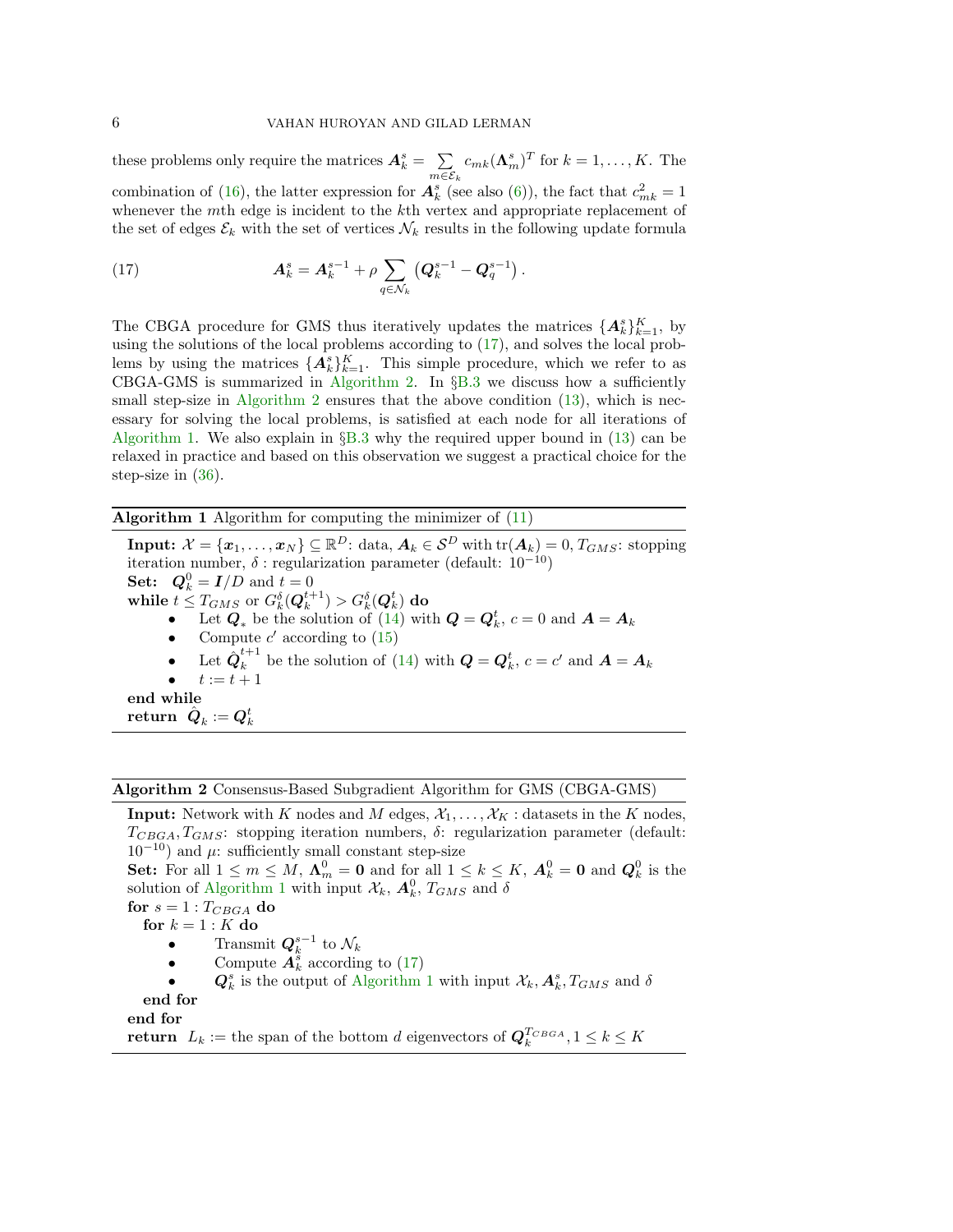these problems only require the matrices  $A_k^s = \sum_{k=1}^{n} A_k^s$  $m{\in} {\cal E}_k$  $c_{mk}(\mathbf{\Lambda}_m^s)^T$  for  $k = 1, \ldots, K$ . The combination of [\(16\)](#page-4-3), the latter expression for  $A_k^s$  (see also [\(6\)](#page-2-6)), the fact that  $c_{mk}^2 = 1$ whenever the mth edge is incident to the kth vertex and appropriate replacement of the set of edges  $\mathcal{E}_k$  with the set of vertices  $\mathcal{N}_k$  results in the following update formula

<span id="page-5-1"></span>(17) 
$$
A_k^s = A_k^{s-1} + \rho \sum_{q \in \mathcal{N}_k} \left( Q_k^{s-1} - Q_q^{s-1} \right).
$$

The CBGA procedure for GMS thus iteratively updates the matrices  ${A_k^s}_{k=1}^K$ , by using the solutions of the local problems according to [\(17\)](#page-5-1), and solves the local problems by using the matrices  ${A_k^s}_{k=1}^K$ . This simple procedure, which we refer to as CBGA-GMS is summarized in [Algorithm 2.](#page-5-2) In  $\S$ [B.3](#page-16-0) we discuss how a sufficiently small step-size in [Algorithm 2](#page-5-2) ensures that the above condition [\(13\)](#page-4-4), which is necessary for solving the local problems, is satisfied at each node for all iterations of [Algorithm 1.](#page-5-0) We also explain in  $\S$ [B.3](#page-16-0) why the required upper bound in [\(13\)](#page-4-4) can be relaxed in practice and based on this observation we suggest a practical choice for the step-size in [\(36\)](#page-16-1).

<span id="page-5-0"></span>Algorithm 1 Algorithm for computing the minimizer of [\(11\)](#page-4-0)

**Input:**  $\mathcal{X} = \{\boldsymbol{x}_1,\ldots,\boldsymbol{x}_N\} \subseteq \mathbb{R}^D$ : data,  $\boldsymbol{A}_k \in \mathcal{S}^D$  with  $\text{tr}(\boldsymbol{A}_k) = 0, T_{GMS}$ : stopping iteration number,  $\delta$ : regularization parameter (default: 10<sup>-10</sup>) Set:  $Q_k^0 = I/D$  and  $t = 0$ while  $t\leq T_{GMS}$  or  $G_k^{\delta}(\boldsymbol{Q}_k^{t+1})>G_k^{\delta}(\boldsymbol{Q}_k^{t})$  do • Let  $\mathbf{Q}_{*}$  be the solution of [\(14\)](#page-4-2) with  $\mathbf{Q} = \mathbf{Q}_{k}^{t}$ ,  $c = 0$  and  $\mathbf{A} = \mathbf{A}_{k}$ • Compute  $c'$  according to [\(15\)](#page-4-5) • Let  $\hat{\mathbf{Q}}_k^{t+1}$  be the solution of [\(14\)](#page-4-2) with  $\mathbf{Q} = \mathbf{Q}_k^t$ ,  $c = c'$  and  $\mathbf{A} = \mathbf{A}_k$ •  $t := t + 1$ end while  $\textbf{return} \;\; \hat{\boldsymbol{Q}}_k := \boldsymbol{Q}_k^t$ 

<span id="page-5-2"></span>Algorithm 2 Consensus-Based Subgradient Algorithm for GMS (CBGA-GMS)

**Input:** Network with K nodes and M edges,  $\mathcal{X}_1, \ldots, \mathcal{X}_K$  : datasets in the K nodes,  $T_{CBGA}, T_{GMS}$ : stopping iteration numbers,  $\delta$ : regularization parameter (default:  $10^{-10}$ ) and  $\mu$ : sufficiently small constant step-size Set: For all  $1 \leq m \leq M$ ,  $\Lambda_m^0 = 0$  and for all  $1 \leq k \leq K$ ,  $A_k^0 = 0$  and  $Q_k^0$  is the solution of [Algorithm 1](#page-5-0) with input  $\mathcal{X}_k$ ,  $\mathbf{A}_k^0$ ,  $T_{GMS}$  and  $\delta$ for  $s = 1$  :  $T_{CBGA}$  do for  $k = 1 : K$  do • Transmit  $\boldsymbol{Q}_k^{s-1}$  to  $\mathcal{N}_k$ • Compute  $A_k^s$  according to [\(17\)](#page-5-1) •  $Q_k^s$  is the output of [Algorithm 1](#page-5-0) with input  $\mathcal{X}_k, A_k^s, T_{GMS}$  and  $\delta$ end for end for

**return**  $L_k :=$  the span of the bottom d eigenvectors of  $Q_k^{T_{CBGA}}, 1 \leq k \leq K$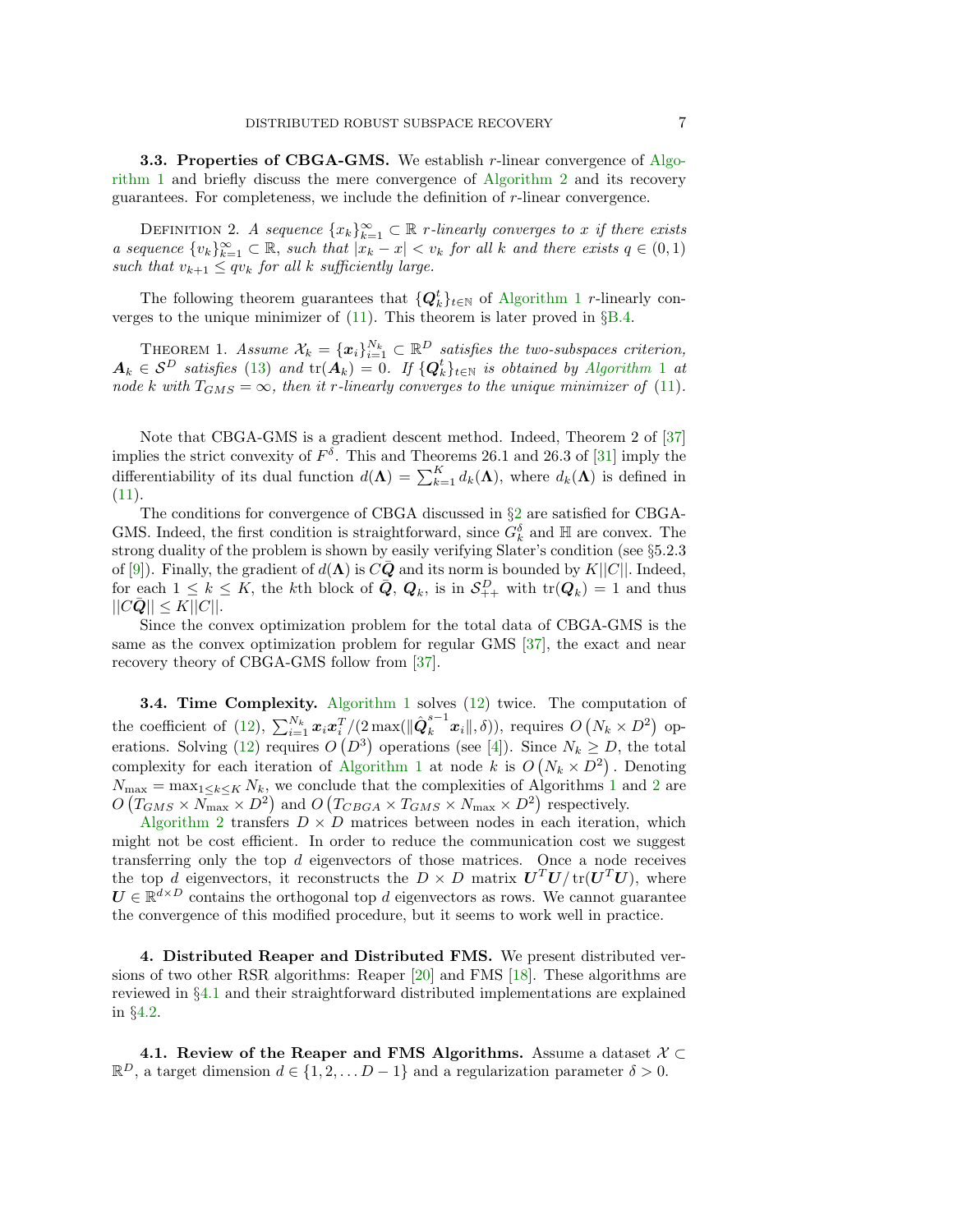<span id="page-6-2"></span><span id="page-6-0"></span>**3.3. Properties of CBGA-GMS.** We establish r-linear convergence of [Algo](#page-5-0)[rithm 1](#page-5-0) and briefly discuss the mere convergence of [Algorithm 2](#page-5-2) and its recovery guarantees. For completeness, we include the definition of r-linear convergence.

DEFINITION 2. A sequence  $\{x_k\}_{k=1}^{\infty} \subset \mathbb{R}$  r-linearly converges to x if there exists a sequence  $\{v_k\}_{k=1}^{\infty} \subset \mathbb{R}$ , such that  $|x_k - x| < v_k$  for all k and there exists  $q \in (0, 1)$ such that  $v_{k+1} \leq qv_k$  for all k sufficiently large.

The following theorem guarantees that  ${Q_k^t}_{t \in \mathbb{N}}$  of [Algorithm 1](#page-5-0) r-linearly converges to the unique minimizer of  $(11)$ . This theorem is later proved in  $\S 8.4$ .

<span id="page-6-5"></span>THEOREM 1. Assume  $\mathcal{X}_k = {\lbrace x_i \rbrace}_{i=1}^{N_k} \subset \mathbb{R}^D$  satisfies the two-subspaces criterion,  $A_k \in \mathcal{S}^D$  satisfies [\(13\)](#page-4-4) and  $\text{tr}(A_k) = 0$ . If  $\{Q_k^t\}_{t \in \mathbb{N}}$  is obtained by [Algorithm](#page-5-0) 1 at node k with  $T_{GMS} = \infty$ , then it r-linearly converges to the unique minimizer of [\(11\)](#page-4-0).

Note that CBGA-GMS is a gradient descent method. Indeed, Theorem 2 of [\[37\]](#page-23-4) implies the strict convexity of  $F^{\delta}$ . This and Theorems 26.1 and 26.3 of [\[31\]](#page-22-18) imply the differentiability of its dual function  $d(\mathbf{\Lambda}) = \sum_{k=1}^{K} d_k(\mathbf{\Lambda})$ , where  $d_k(\mathbf{\Lambda})$  is defined in [\(11\)](#page-4-0).

The conditions for convergence of CBGA discussed in §[2](#page-1-0) are satisfied for CBGA-GMS. Indeed, the first condition is straightforward, since  $G_k^{\delta}$  and  $\mathbb{H}$  are convex. The strong duality of the problem is shown by easily verifying Slater's condition (see §5.2.3 of [\[9\]](#page-22-19)). Finally, the gradient of  $d(\Lambda)$  is  $C\bar{Q}$  and its norm is bounded by  $K||C||$ . Indeed, for each  $1 \leq k \leq K$ , the kth block of  $\overline{Q}$ ,  $Q_k$ , is in  $S_{++}^D$  with  $\text{tr}(Q_k) = 1$  and thus  $||C\bar{Q}|| \leq K||C||.$ 

Since the convex optimization problem for the total data of CBGA-GMS is the same as the convex optimization problem for regular GMS [\[37\]](#page-23-4), the exact and near recovery theory of CBGA-GMS follow from [\[37\]](#page-23-4).

<span id="page-6-3"></span>3.4. Time Complexity. [Algorithm 1](#page-5-0) solves [\(12\)](#page-4-1) twice. The computation of the coefficient of [\(12\)](#page-4-1),  $\sum_{i=1}^{N_k} x_i x_i^T/(2 \max(||\hat{Q}_{k}^{s-1} x_i||, \delta))$ , requires  $O(N_k \times D^2)$  op-erations. Solving [\(12\)](#page-4-1) requires  $O(D^3)$  operations (see [\[4\]](#page-21-2)). Since  $N_k \geq D$ , the total complexity for each iteration of [Algorithm 1](#page-5-0) at node k is  $O(N_k \times D^2)$ . Denoting  $N_{\text{max}} = \max_{1 \leq k \leq K} N_k$  $N_{\text{max}} = \max_{1 \leq k \leq K} N_k$  $N_{\text{max}} = \max_{1 \leq k \leq K} N_k$ , we conclude that the complexities of Algorithms 1 and [2](#page-5-2) are  $O(T_{GMS} \times N_{\text{max}} \times D^2)$  and  $O(T_{CBGA} \times T_{GMS} \times N_{\text{max}} \times D^2)$  respectively.

[Algorithm 2](#page-5-2) transfers  $D \times D$  matrices between nodes in each iteration, which might not be cost efficient. In order to reduce the communication cost we suggest transferring only the top  $d$  eigenvectors of those matrices. Once a node receives the top d eigenvectors, it reconstructs the  $D \times D$  matrix  $\boldsymbol{U}^T \boldsymbol{U} / \text{tr}(\boldsymbol{U}^T \boldsymbol{U})$ , where  $U \in \mathbb{R}^{d \times D}$  contains the orthogonal top d eigenvectors as rows. We cannot guarantee the convergence of this modified procedure, but it seems to work well in practice.

<span id="page-6-1"></span>4. Distributed Reaper and Distributed FMS. We present distributed versions of two other RSR algorithms: Reaper [\[20\]](#page-22-15) and FMS [\[18\]](#page-22-16). These algorithms are reviewed in §[4.1](#page-6-4) and their straightforward distributed implementations are explained in §[4.2.](#page-7-0)

<span id="page-6-4"></span>4.1. Review of the Reaper and FMS Algorithms. Assume a dataset  $\mathcal{X} \subset$  $\mathbb{R}^D$ , a target dimension  $d \in \{1, 2, \ldots D-1\}$  and a regularization parameter  $\delta > 0$ .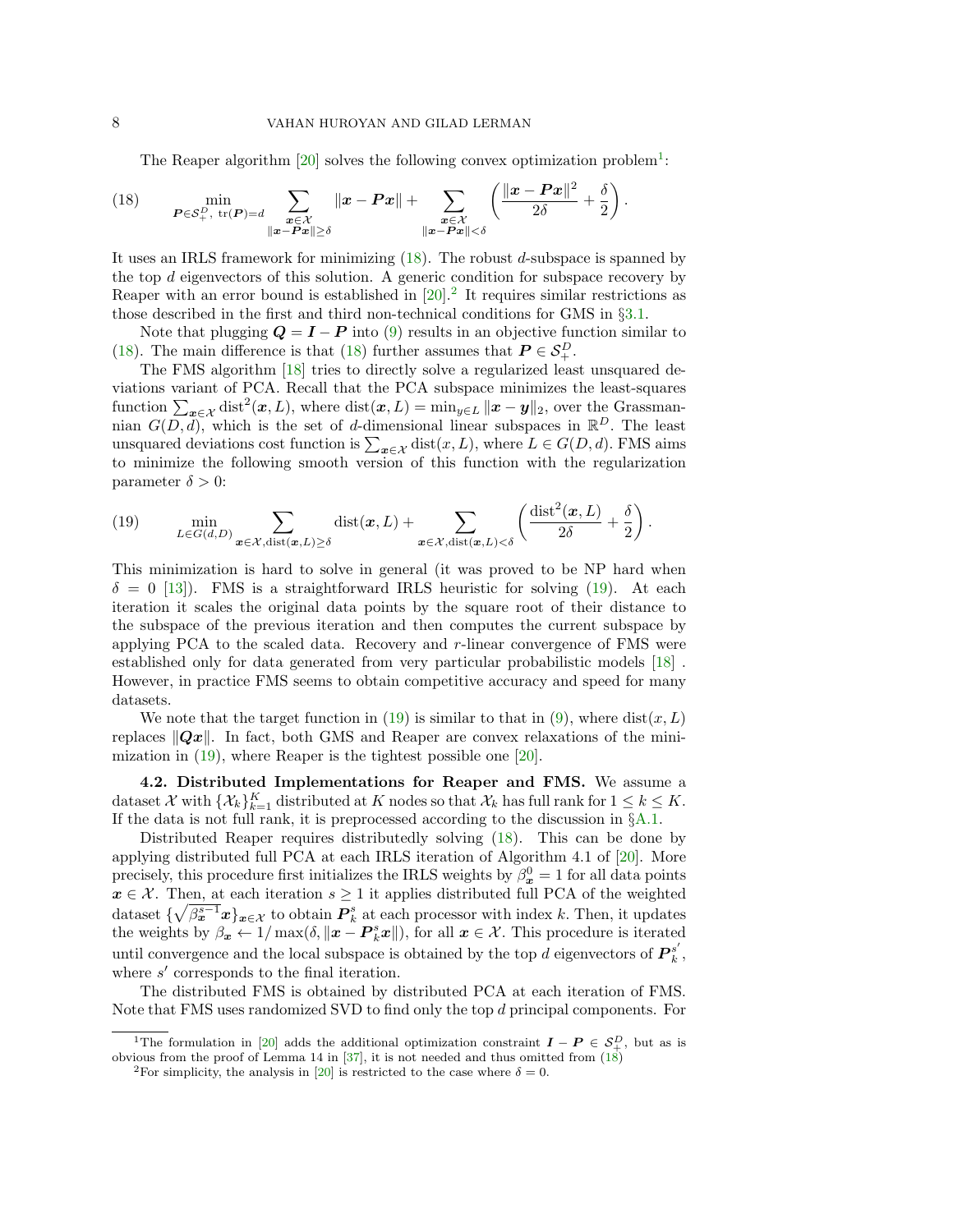<span id="page-7-2"></span>The Reaper algorithm  $[20]$  solves the following convex optimization problem<sup>[1](#page-7-1)</sup>:

(18) 
$$
\min_{\boldsymbol{P} \in \mathcal{S}_{+}^{D}, \text{ tr}(\boldsymbol{P}) = d} \sum_{\substack{\boldsymbol{x} \in \mathcal{X} \\ \|\boldsymbol{x} - \boldsymbol{P}\boldsymbol{x}\| \ge \delta}} \|\boldsymbol{x} - \boldsymbol{P}\boldsymbol{x}\| + \sum_{\substack{\boldsymbol{x} \in \mathcal{X} \\ \|\boldsymbol{x} - \boldsymbol{P}\boldsymbol{x}\| < \delta}} \left(\frac{\|\boldsymbol{x} - \boldsymbol{P}\boldsymbol{x}\|^2}{2\delta} + \frac{\delta}{2}\right).
$$

It uses an IRLS framework for minimizing [\(18\)](#page-7-2). The robust d-subspace is spanned by the top d eigenvectors of this solution. A generic condition for subspace recovery by Reaper with an error bound is established in  $[20].<sup>2</sup>$  $[20].<sup>2</sup>$  $[20].<sup>2</sup>$  $[20].<sup>2</sup>$  It requires similar restrictions as those described in the first and third non-technical conditions for GMS in §[3.1.](#page-2-3)

Note that plugging  $Q = I - P$  into [\(9\)](#page-3-1) results in an objective function similar to [\(18\)](#page-7-2). The main difference is that (18) further assumes that  $P \in \mathcal{S}_{+}^D$ .

The FMS algorithm [\[18\]](#page-22-16) tries to directly solve a regularized least unsquared deviations variant of PCA. Recall that the PCA subspace minimizes the least-squares function  $\sum_{x \in \mathcal{X}} \text{dist}^2(x, L)$ , where  $\text{dist}(x, L) = \min_{y \in L} ||x - y||_2$ , over the Grassmannian  $G(D, d)$ , which is the set of d-dimensional linear subspaces in  $\mathbb{R}^D$ . The least unsquared deviations cost function is  $\sum_{x \in \mathcal{X}} \text{dist}(x, L)$ , where  $L \in G(D, d)$ . FMS aims to minimize the following smooth version of this function with the regularization parameter  $\delta > 0$ :

<span id="page-7-4"></span>(19) 
$$
\min_{L \in G(d,D)} \sum_{\boldsymbol{x} \in \mathcal{X}, \text{dist}(\boldsymbol{x},L) \ge \delta} \text{dist}(\boldsymbol{x},L) + \sum_{\boldsymbol{x} \in \mathcal{X}, \text{dist}(\boldsymbol{x},L) < \delta} \left( \frac{\text{dist}^2(\boldsymbol{x},L)}{2\delta} + \frac{\delta}{2} \right).
$$

This minimization is hard to solve in general (it was proved to be NP hard when  $\delta = 0$  [\[13\]](#page-22-20)). FMS is a straightforward IRLS heuristic for solving [\(19\)](#page-7-4). At each iteration it scales the original data points by the square root of their distance to the subspace of the previous iteration and then computes the current subspace by applying PCA to the scaled data. Recovery and r-linear convergence of FMS were established only for data generated from very particular probabilistic models [\[18\]](#page-22-16) . However, in practice FMS seems to obtain competitive accuracy and speed for many datasets.

We note that the target function in [\(19\)](#page-7-4) is similar to that in [\(9\)](#page-3-1), where  $dist(x, L)$ replaces  $\|\mathbf{Qx}\|$ . In fact, both GMS and Reaper are convex relaxations of the minimization in [\(19\)](#page-7-4), where Reaper is the tightest possible one [\[20\]](#page-22-15).

<span id="page-7-0"></span>4.2. Distributed Implementations for Reaper and FMS. We assume a dataset X with  $\{\mathcal{X}_k\}_{k=1}^K$  distributed at K nodes so that  $\mathcal{X}_k$  has full rank for  $1 \leq k \leq K$ . If the data is not full rank, it is preprocessed according to the discussion in §[A.1.](#page-12-0)

Distributed Reaper requires distributedly solving [\(18\)](#page-7-2). This can be done by applying distributed full PCA at each IRLS iteration of Algorithm 4.1 of [\[20\]](#page-22-15). More precisely, this procedure first initializes the IRLS weights by  $\beta_{\mathbf{x}}^0 = 1$  for all data points  $x \in \mathcal{X}$ . Then, at each iteration  $s \geq 1$  it applies distributed full PCA of the weighted dataset  $\{\sqrt{\beta_x^{s-1}}x\}_{x\in\mathcal{X}}$  to obtain  $\boldsymbol{P}_k^s$  at each processor with index k. Then, it updates the weights by  $\beta_x \leftarrow 1/\max(\delta, ||x - P_k^s x||)$ , for all  $x \in \mathcal{X}$ . This procedure is iterated until convergence and the local subspace is obtained by the top d eigenvectors of  $P_k^s$  $_k^s$  , where  $s'$  corresponds to the final iteration.

The distributed FMS is obtained by distributed PCA at each iteration of FMS. Note that FMS uses randomized SVD to find only the top d principal components. For

<span id="page-7-1"></span><sup>&</sup>lt;sup>1</sup>The formulation in [\[20\]](#page-22-15) adds the additional optimization constraint  $I - P \in \mathcal{S}_{+}^{D}$ , but as is obvious from the proof of Lemma 14 in [\[37\]](#page-23-4), it is not needed and thus omitted from  $(18)$ 

<span id="page-7-3"></span><sup>&</sup>lt;sup>2</sup>For simplicity, the analysis in [\[20\]](#page-22-15) is restricted to the case where  $\delta = 0$ .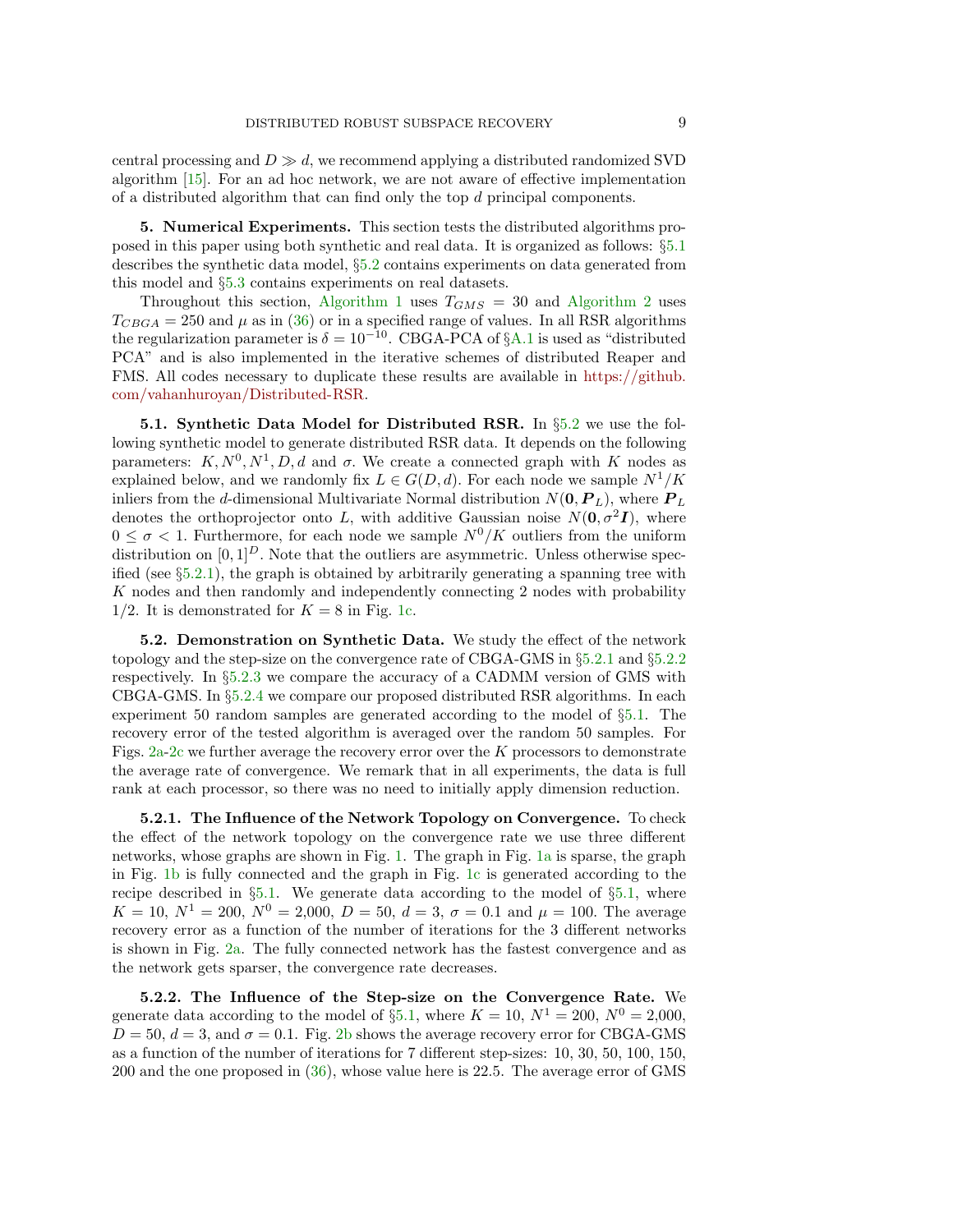central processing and  $D \gg d$ , we recommend applying a distributed randomized SVD algorithm [\[15\]](#page-22-21). For an ad hoc network, we are not aware of effective implementation of a distributed algorithm that can find only the top d principal components.

<span id="page-8-0"></span>5. Numerical Experiments. This section tests the distributed algorithms proposed in this paper using both synthetic and real data. It is organized as follows: §[5.1](#page-8-1) describes the synthetic data model, §[5.2](#page-8-2) contains experiments on data generated from this model and §[5.3](#page-11-0) contains experiments on real datasets.

Throughout this section, [Algorithm 1](#page-5-0) uses  $T_{GMS} = 30$  and [Algorithm 2](#page-5-2) uses  $T_{CBGA} = 250$  and  $\mu$  as in [\(36\)](#page-16-1) or in a specified range of values. In all RSR algorithms the regularization parameter is  $\delta = 10^{-10}$ . CBGA-PCA of §[A.1](#page-12-0) is used as "distributed PCA" and is also implemented in the iterative schemes of distributed Reaper and FMS. All codes necessary to duplicate these results are available in [https://github.](https://github.com/vahanhuroyan/Distributed-RSR) [com/vahanhuroyan/Distributed-RSR.](https://github.com/vahanhuroyan/Distributed-RSR)

<span id="page-8-1"></span>5.1. Synthetic Data Model for Distributed RSR. In §[5.2](#page-8-2) we use the following synthetic model to generate distributed RSR data. It depends on the following parameters:  $K, N^0, N^1, D, d$  and  $\sigma$ . We create a connected graph with K nodes as explained below, and we randomly fix  $L \in G(D, d)$ . For each node we sample  $N^1/K$ inliers from the d-dimensional Multivariate Normal distribution  $N(\mathbf{0}, P_L)$ , where  $P_L$ denotes the orthoprojector onto L, with additive Gaussian noise  $N(\mathbf{0}, \sigma^2 \mathbf{I})$ , where  $0 \leq \sigma < 1$ . Furthermore, for each node we sample  $N^0/K$  outliers from the uniform distribution on  $[0, 1]^D$ . Note that the outliers are asymmetric. Unless otherwise specified (see §[5.2.1\)](#page-8-3), the graph is obtained by arbitrarily generating a spanning tree with K nodes and then randomly and independently connecting 2 nodes with probability  $1/2$ . It is demonstrated for  $K = 8$  in Fig. [1c.](#page-9-0)

<span id="page-8-2"></span>5.2. Demonstration on Synthetic Data. We study the effect of the network topology and the step-size on the convergence rate of CBGA-GMS in §[5.2.1](#page-8-3) and §[5.2.2](#page-8-4) respectively. In §[5.2.3](#page-9-1) we compare the accuracy of a CADMM version of GMS with CBGA-GMS. In §[5.2.4](#page-9-2) we compare our proposed distributed RSR algorithms. In each experiment 50 random samples are generated according to the model of §[5.1.](#page-8-1) The recovery error of the tested algorithm is averaged over the random 50 samples. For Figs. [2a-2c](#page-10-0) we further average the recovery error over the K processors to demonstrate the average rate of convergence. We remark that in all experiments, the data is full rank at each processor, so there was no need to initially apply dimension reduction.

<span id="page-8-3"></span>5.2.1. The Influence of the Network Topology on Convergence. To check the effect of the network topology on the convergence rate we use three different networks, whose graphs are shown in Fig. [1.](#page-9-0) The graph in Fig. [1a](#page-9-0) is sparse, the graph in Fig. [1b](#page-9-0) is fully connected and the graph in Fig. [1c](#page-9-0) is generated according to the recipe described in  $\S5.1$ . We generate data according to the model of  $\S5.1$ , where  $K = 10$ ,  $N^1 = 200$ ,  $N^0 = 2,000$ ,  $D = 50$ ,  $d = 3$ ,  $\sigma = 0.1$  and  $\mu = 100$ . The average recovery error as a function of the number of iterations for the 3 different networks is shown in Fig. [2a.](#page-10-0) The fully connected network has the fastest convergence and as the network gets sparser, the convergence rate decreases.

<span id="page-8-4"></span>5.2.2. The Influence of the Step-size on the Convergence Rate. We generate data according to the model of §[5.1,](#page-8-1) where  $K = 10$ ,  $N^1 = 200$ ,  $N^0 = 2,000$ ,  $D = 50, d = 3$ , and  $\sigma = 0.1$ . Fig. [2b](#page-10-0) shows the average recovery error for CBGA-GMS as a function of the number of iterations for 7 different step-sizes: 10, 30, 50, 100, 150, 200 and the one proposed in [\(36\)](#page-16-1), whose value here is 22.5. The average error of GMS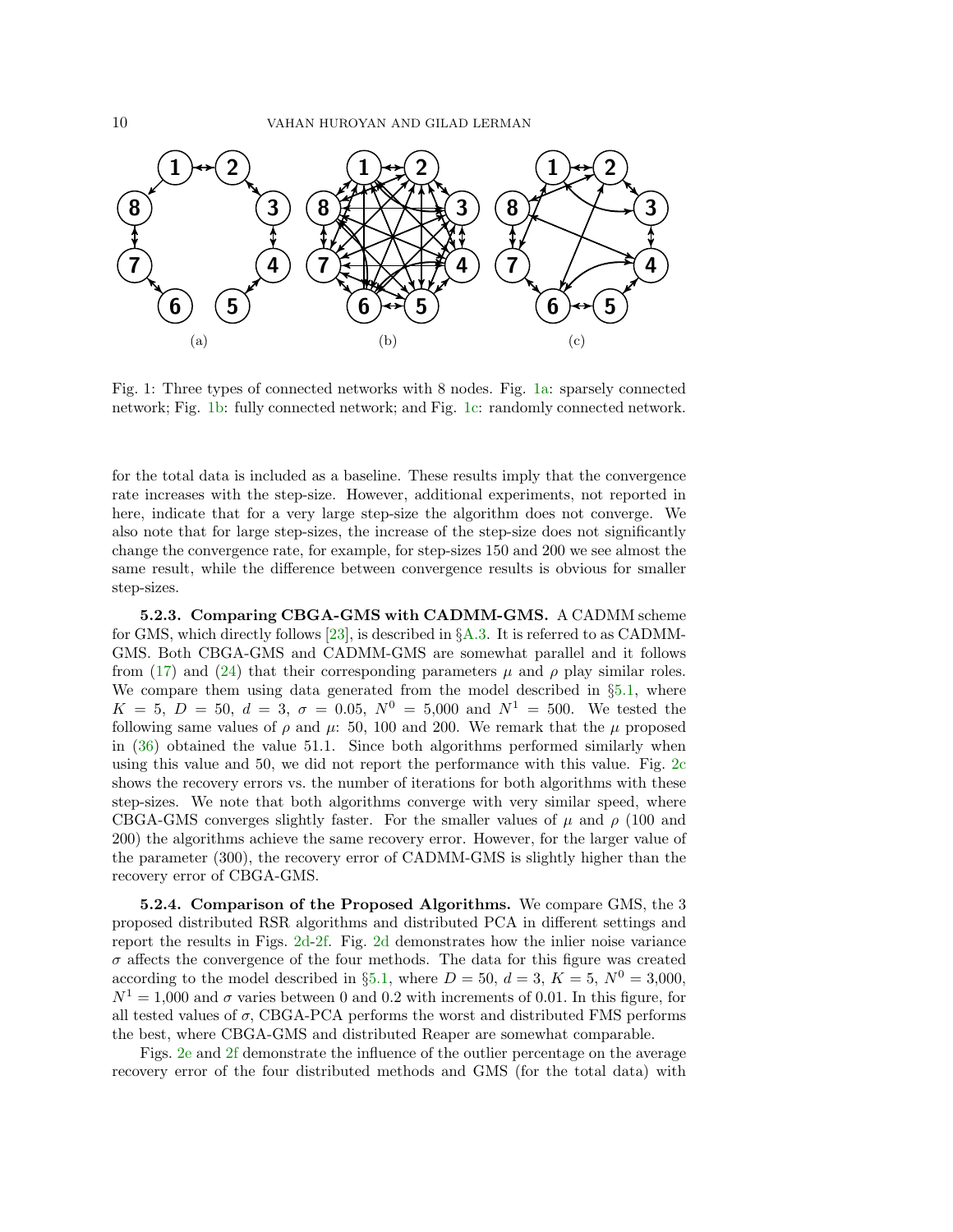<span id="page-9-0"></span>

Fig. 1: Three types of connected networks with 8 nodes. Fig. [1a:](#page-9-0) sparsely connected network; Fig. [1b:](#page-9-0) fully connected network; and Fig. [1c:](#page-9-0) randomly connected network.

for the total data is included as a baseline. These results imply that the convergence rate increases with the step-size. However, additional experiments, not reported in here, indicate that for a very large step-size the algorithm does not converge. We also note that for large step-sizes, the increase of the step-size does not significantly change the convergence rate, for example, for step-sizes 150 and 200 we see almost the same result, while the difference between convergence results is obvious for smaller step-sizes.

<span id="page-9-1"></span>5.2.3. Comparing CBGA-GMS with CADMM-GMS. A CADMM scheme for GMS, which directly follows [\[23\]](#page-22-8), is described in §[A.3.](#page-14-0) It is referred to as CADMM-GMS. Both CBGA-GMS and CADMM-GMS are somewhat parallel and it follows from [\(17\)](#page-5-1) and [\(24\)](#page-14-2) that their corresponding parameters  $\mu$  and  $\rho$  play similar roles. We compare them using data generated from the model described in  $\S 5.1$ , where  $K = 5, D = 50, d = 3, \sigma = 0.05, N^0 = 5,000 \text{ and } N^1 = 500.$  We tested the following same values of  $\rho$  and  $\mu$ : 50, 100 and 200. We remark that the  $\mu$  proposed in [\(36\)](#page-16-1) obtained the value 51.1. Since both algorithms performed similarly when using this value and 50, we did not report the performance with this value. Fig. [2c](#page-10-0) shows the recovery errors vs. the number of iterations for both algorithms with these step-sizes. We note that both algorithms converge with very similar speed, where CBGA-GMS converges slightly faster. For the smaller values of  $\mu$  and  $\rho$  (100 and 200) the algorithms achieve the same recovery error. However, for the larger value of the parameter (300), the recovery error of CADMM-GMS is slightly higher than the recovery error of CBGA-GMS.

<span id="page-9-2"></span>5.2.4. Comparison of the Proposed Algorithms. We compare GMS, the 3 proposed distributed RSR algorithms and distributed PCA in different settings and report the results in Figs. [2d-2f.](#page-10-0) Fig. [2d](#page-10-0) demonstrates how the inlier noise variance  $\sigma$  affects the convergence of the four methods. The data for this figure was created according to the model described in §[5.1,](#page-8-1) where  $D = 50$ ,  $d = 3$ ,  $K = 5$ ,  $N^0 = 3,000$ ,  $N^1 = 1,000$  and  $\sigma$  varies between 0 and 0.2 with increments of 0.01. In this figure, for all tested values of  $\sigma$ , CBGA-PCA performs the worst and distributed FMS performs the best, where CBGA-GMS and distributed Reaper are somewhat comparable.

Figs. [2e](#page-10-0) and [2f](#page-10-0) demonstrate the influence of the outlier percentage on the average recovery error of the four distributed methods and GMS (for the total data) with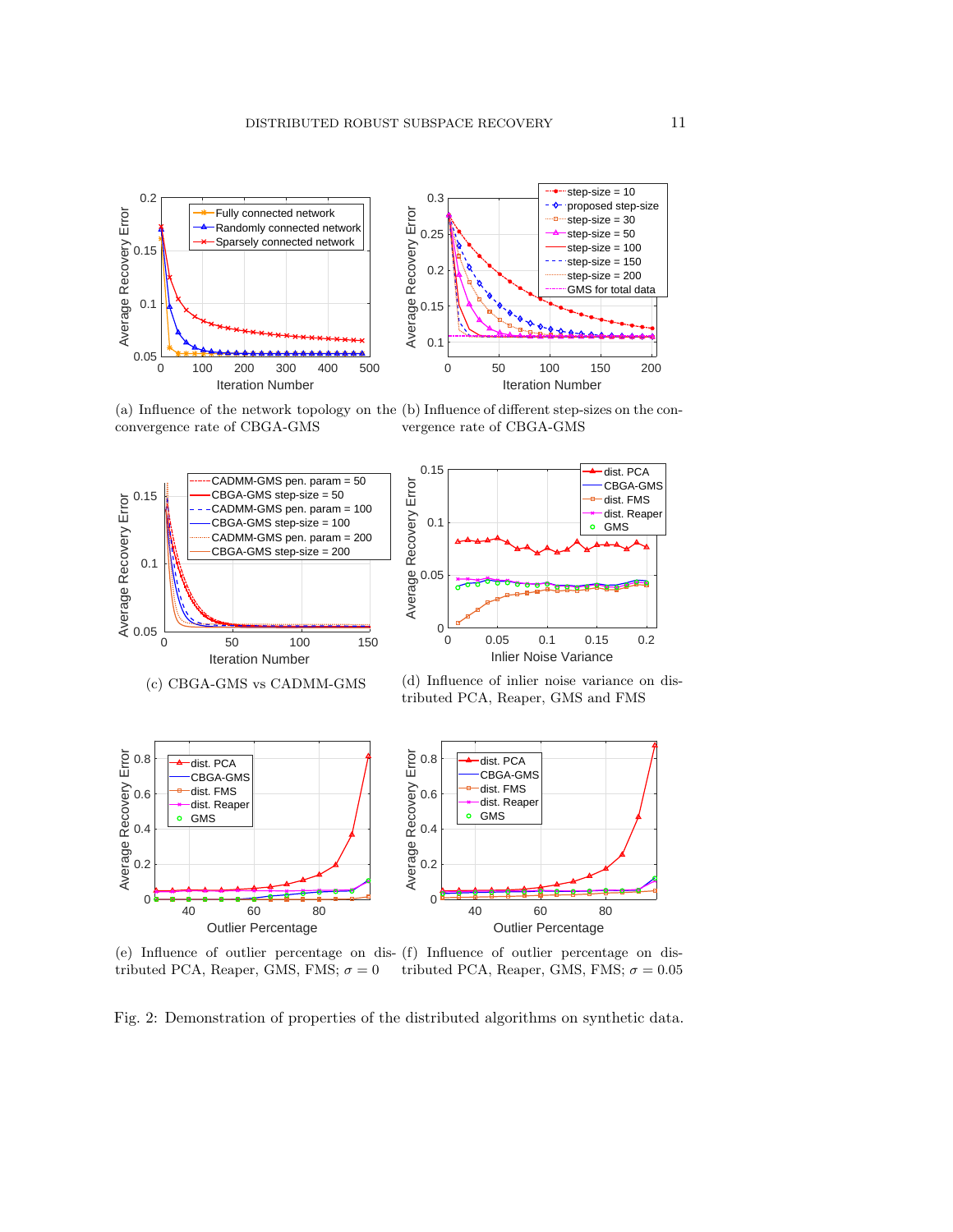<span id="page-10-0"></span>



(a) Influence of the network topology on the (b) Influence of different step-sizes on the conconvergence rate of CBGA-GMS

vergence rate of CBGA-GMS



(d) Influence of inlier noise variance on distributed PCA, Reaper, GMS and FMS



(e) Influence of outlier percentage on dis-(f) Influence of outlier percentage on distributed PCA, Reaper, GMS, FMS;  $\sigma = 0$  tributed PCA, Reaper, GMS, FMS;  $\sigma = 0.05$ 

Fig. 2: Demonstration of properties of the distributed algorithms on synthetic data.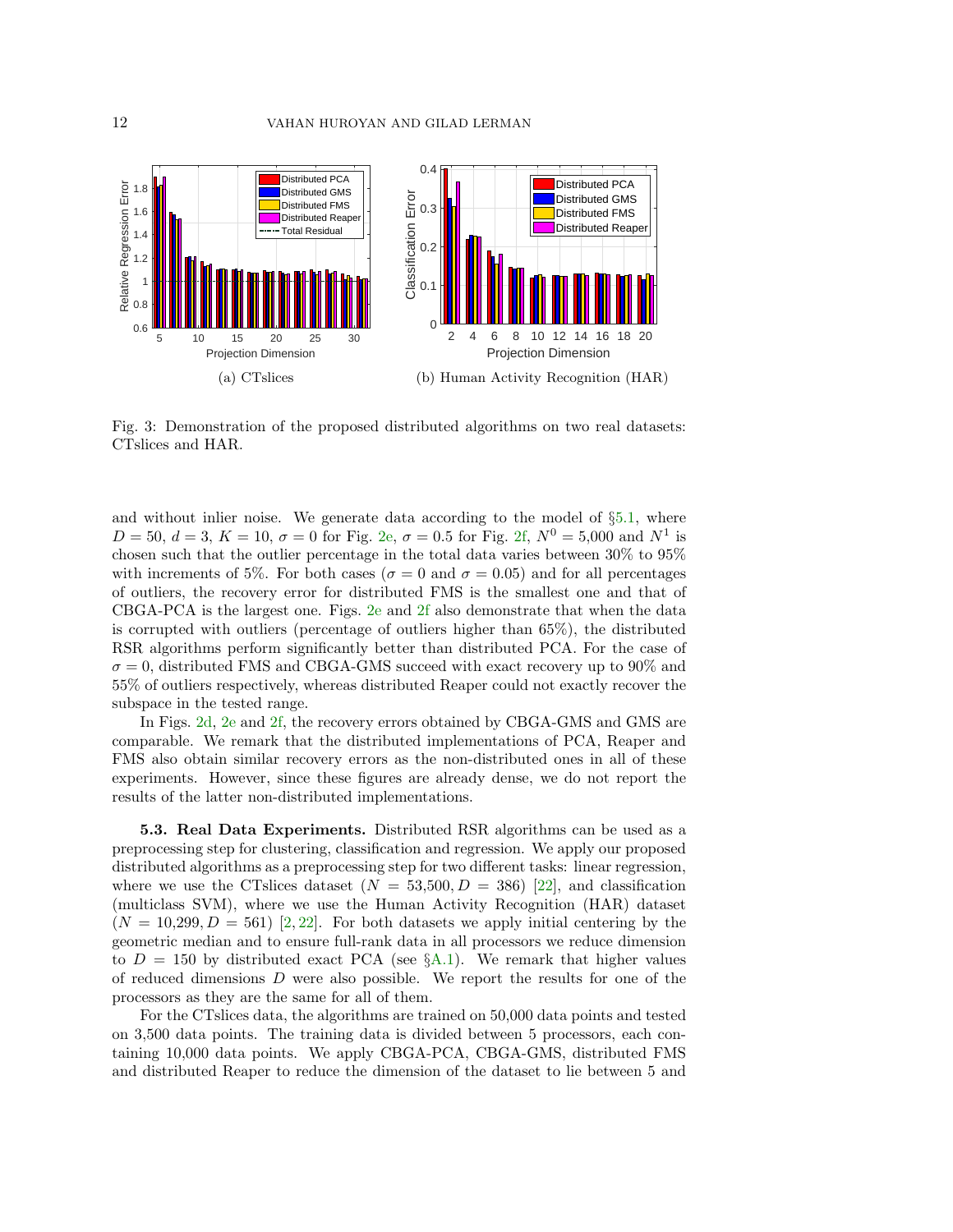<span id="page-11-1"></span>

Fig. 3: Demonstration of the proposed distributed algorithms on two real datasets: CTslices and HAR.

and without inlier noise. We generate data according to the model of  $\S5.1$ , where  $D = 50, d = 3, K = 10, \sigma = 0$  for Fig. [2e,](#page-10-0)  $\sigma = 0.5$  for Fig. [2f,](#page-10-0)  $N^0 = 5,000$  and  $N^1$  is chosen such that the outlier percentage in the total data varies between 30% to 95% with increments of 5%. For both cases ( $\sigma = 0$  and  $\sigma = 0.05$ ) and for all percentages of outliers, the recovery error for distributed FMS is the smallest one and that of CBGA-PCA is the largest one. Figs. [2e](#page-10-0) and [2f](#page-10-0) also demonstrate that when the data is corrupted with outliers (percentage of outliers higher than 65%), the distributed RSR algorithms perform significantly better than distributed PCA. For the case of  $\sigma = 0$ , distributed FMS and CBGA-GMS succeed with exact recovery up to 90% and 55% of outliers respectively, whereas distributed Reaper could not exactly recover the subspace in the tested range.

In Figs. [2d,](#page-10-0) [2e](#page-10-0) and [2f,](#page-10-0) the recovery errors obtained by CBGA-GMS and GMS are comparable. We remark that the distributed implementations of PCA, Reaper and FMS also obtain similar recovery errors as the non-distributed ones in all of these experiments. However, since these figures are already dense, we do not report the results of the latter non-distributed implementations.

<span id="page-11-0"></span>5.3. Real Data Experiments. Distributed RSR algorithms can be used as a preprocessing step for clustering, classification and regression. We apply our proposed distributed algorithms as a preprocessing step for two different tasks: linear regression, where we use the CTslices dataset  $(N = 53,500, D = 386)$  [\[22\]](#page-22-22), and classification (multiclass SVM), where we use the Human Activity Recognition (HAR) dataset  $(N = 10,299, D = 561)$  [\[2,](#page-21-3) [22\]](#page-22-22). For both datasets we apply initial centering by the geometric median and to ensure full-rank data in all processors we reduce dimension to  $D = 150$  by distributed exact PCA (see §[A.1\)](#page-12-0). We remark that higher values of reduced dimensions  $D$  were also possible. We report the results for one of the processors as they are the same for all of them.

For the CTslices data, the algorithms are trained on 50,000 data points and tested on 3,500 data points. The training data is divided between 5 processors, each containing 10,000 data points. We apply CBGA-PCA, CBGA-GMS, distributed FMS and distributed Reaper to reduce the dimension of the dataset to lie between 5 and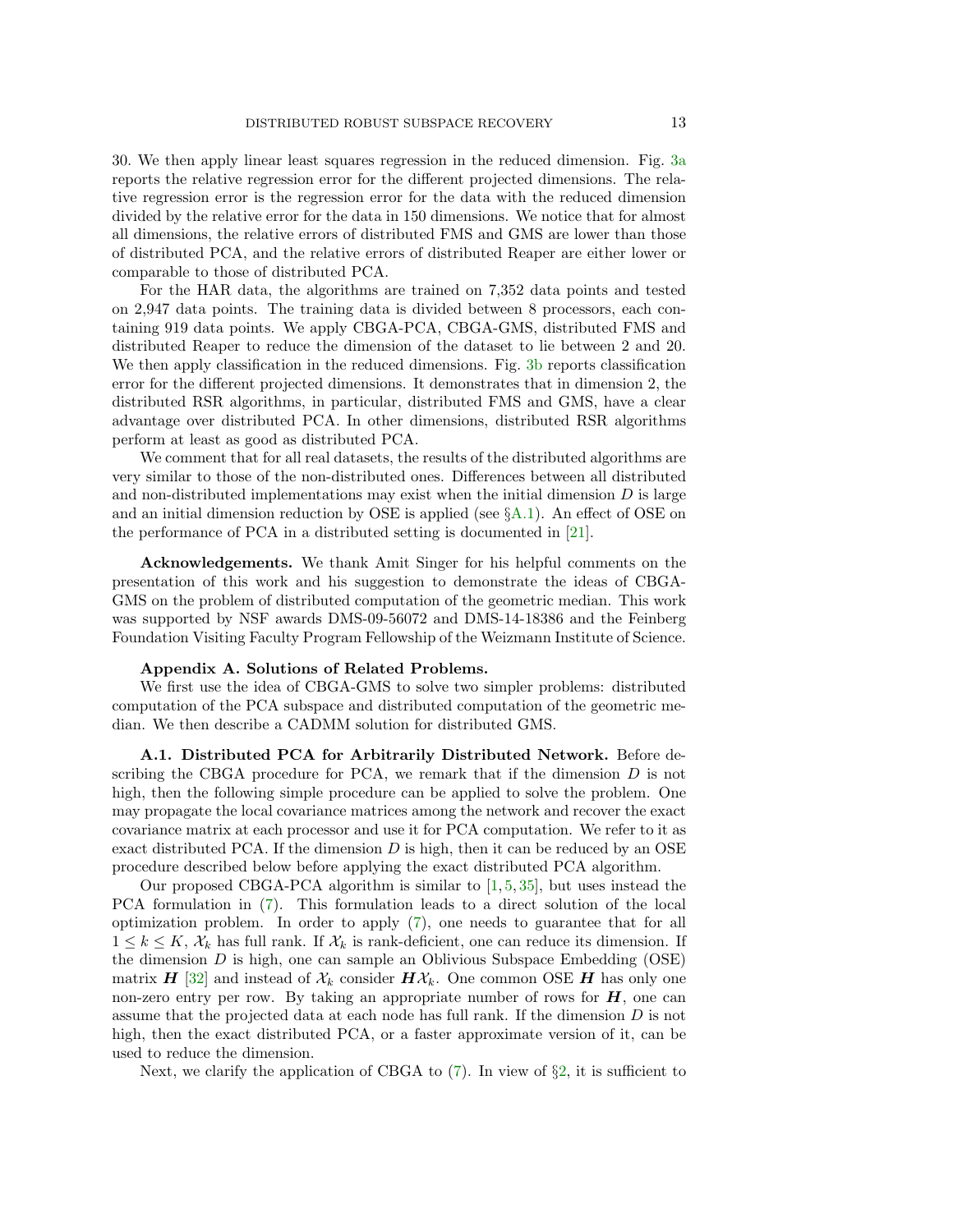30. We then apply linear least squares regression in the reduced dimension. Fig. [3a](#page-11-1) reports the relative regression error for the different projected dimensions. The relative regression error is the regression error for the data with the reduced dimension divided by the relative error for the data in 150 dimensions. We notice that for almost all dimensions, the relative errors of distributed FMS and GMS are lower than those of distributed PCA, and the relative errors of distributed Reaper are either lower or comparable to those of distributed PCA.

For the HAR data, the algorithms are trained on 7,352 data points and tested on 2,947 data points. The training data is divided between 8 processors, each containing 919 data points. We apply CBGA-PCA, CBGA-GMS, distributed FMS and distributed Reaper to reduce the dimension of the dataset to lie between 2 and 20. We then apply classification in the reduced dimensions. Fig. [3b](#page-11-1) reports classification error for the different projected dimensions. It demonstrates that in dimension 2, the distributed RSR algorithms, in particular, distributed FMS and GMS, have a clear advantage over distributed PCA. In other dimensions, distributed RSR algorithms perform at least as good as distributed PCA.

We comment that for all real datasets, the results of the distributed algorithms are very similar to those of the non-distributed ones. Differences between all distributed and non-distributed implementations may exist when the initial dimension  $D$  is large and an initial dimension reduction by OSE is applied (see  $\S$ [A.1\)](#page-12-0). An effect of OSE on the performance of PCA in a distributed setting is documented in [\[21\]](#page-22-10).

Acknowledgements. We thank Amit Singer for his helpful comments on the presentation of this work and his suggestion to demonstrate the ideas of CBGA-GMS on the problem of distributed computation of the geometric median. This work was supported by NSF awards DMS-09-56072 and DMS-14-18386 and the Feinberg Foundation Visiting Faculty Program Fellowship of the Weizmann Institute of Science.

### Appendix A. Solutions of Related Problems.

We first use the idea of CBGA-GMS to solve two simpler problems: distributed computation of the PCA subspace and distributed computation of the geometric median. We then describe a CADMM solution for distributed GMS.

<span id="page-12-0"></span>A.1. Distributed PCA for Arbitrarily Distributed Network. Before describing the CBGA procedure for PCA, we remark that if the dimension  $D$  is not high, then the following simple procedure can be applied to solve the problem. One may propagate the local covariance matrices among the network and recover the exact covariance matrix at each processor and use it for PCA computation. We refer to it as exact distributed PCA. If the dimension  $D$  is high, then it can be reduced by an OSE procedure described below before applying the exact distributed PCA algorithm.

Our proposed CBGA-PCA algorithm is similar to [\[1,](#page-21-1) [5,](#page-22-1) [35\]](#page-23-3), but uses instead the PCA formulation in [\(7\)](#page-2-4). This formulation leads to a direct solution of the local optimization problem. In order to apply [\(7\)](#page-2-4), one needs to guarantee that for all  $1 \leq k \leq K$ ,  $\mathcal{X}_k$  has full rank. If  $\mathcal{X}_k$  is rank-deficient, one can reduce its dimension. If the dimension  $D$  is high, one can sample an Oblivious Subspace Embedding (OSE) matrix  $H$  [\[32\]](#page-22-23) and instead of  $\mathcal{X}_k$  consider  $H\mathcal{X}_k$ . One common OSE H has only one non-zero entry per row. By taking an appropriate number of rows for  $H$ , one can assume that the projected data at each node has full rank. If the dimension D is not high, then the exact distributed PCA, or a faster approximate version of it, can be used to reduce the dimension.

Next, we clarify the application of CBGA to  $(7)$ . In view of  $\S2$ , it is sufficient to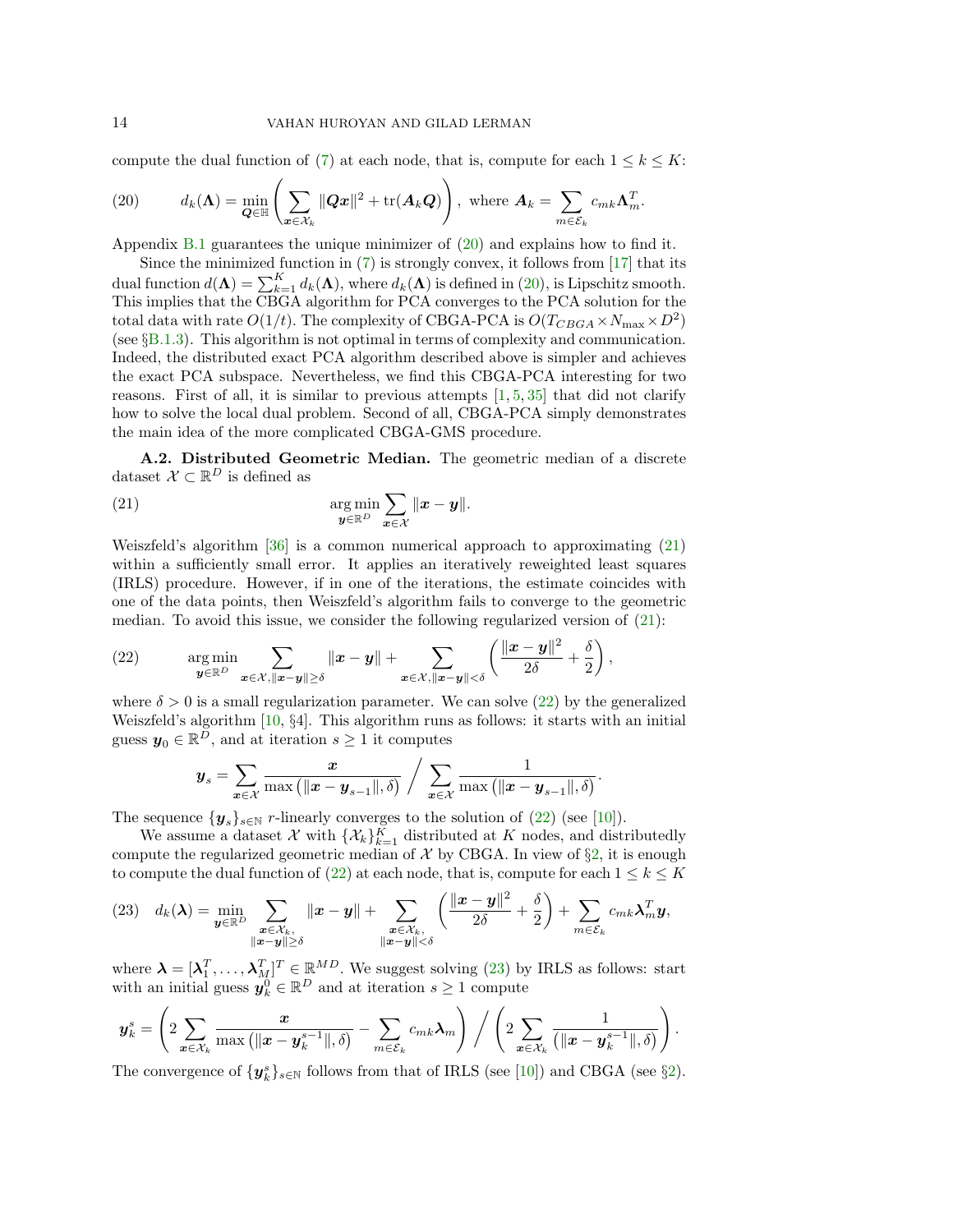compute the dual function of [\(7\)](#page-2-4) at each node, that is, compute for each  $1 \leq k \leq K$ :

<span id="page-13-1"></span>(20) 
$$
d_k(\mathbf{\Lambda}) = \min_{\mathbf{Q} \in \mathbb{H}} \left( \sum_{\mathbf{x} \in \mathcal{X}_k} ||\mathbf{Q}\mathbf{x}||^2 + \text{tr}(\mathbf{A}_k \mathbf{Q}) \right), \text{ where } \mathbf{A}_k = \sum_{m \in \mathcal{E}_k} c_{mk} \mathbf{\Lambda}_m^T.
$$

Appendix [B.1](#page-14-3) guarantees the unique minimizer of [\(20\)](#page-13-1) and explains how to find it.

Since the minimized function in  $(7)$  is strongly convex, it follows from  $[17]$  that its dual function  $d(\mathbf{\Lambda}) = \sum_{k=1}^{K} d_k(\mathbf{\Lambda})$ , where  $d_k(\mathbf{\Lambda})$  is defined in [\(20\)](#page-13-1), is Lipschitz smooth. This implies that the CBGA algorithm for PCA converges to the PCA solution for the total data with rate  $O(1/t)$ . The complexity of CBGA-PCA is  $O(T_{CBGA} \times N_{\text{max}} \times D^2)$ (see §[B.1.3\)](#page-15-1). This algorithm is not optimal in terms of complexity and communication. Indeed, the distributed exact PCA algorithm described above is simpler and achieves the exact PCA subspace. Nevertheless, we find this CBGA-PCA interesting for two reasons. First of all, it is similar to previous attempts  $[1, 5, 35]$  $[1, 5, 35]$  $[1, 5, 35]$  $[1, 5, 35]$  $[1, 5, 35]$  that did not clarify how to solve the local dual problem. Second of all, CBGA-PCA simply demonstrates the main idea of the more complicated CBGA-GMS procedure.

<span id="page-13-0"></span>A.2. Distributed Geometric Median. The geometric median of a discrete dataset  $\mathcal{X} \subset \mathbb{R}^D$  is defined as

<span id="page-13-2"></span>(21) 
$$
\arg\min_{\boldsymbol{y}\in\mathbb{R}^D}\sum_{\boldsymbol{x}\in\mathcal{X}}\|\boldsymbol{x}-\boldsymbol{y}\|.
$$

Weiszfeld's algorithm [\[36\]](#page-23-5) is a common numerical approach to approximating [\(21\)](#page-13-2) within a sufficiently small error. It applies an iteratively reweighted least squares (IRLS) procedure. However, if in one of the iterations, the estimate coincides with one of the data points, then Weiszfeld's algorithm fails to converge to the geometric median. To avoid this issue, we consider the following regularized version of  $(21)$ :

<span id="page-13-3"></span>(22) 
$$
\argmin_{\mathbf{y}\in\mathbb{R}^D}\sum_{\mathbf{x}\in\mathcal{X},\|\mathbf{x}-\mathbf{y}\|\geq\delta}\|\mathbf{x}-\mathbf{y}\|+\sum_{\mathbf{x}\in\mathcal{X},\|\mathbf{x}-\mathbf{y}\|<\delta}\left(\frac{\|\mathbf{x}-\mathbf{y}\|^2}{2\delta}+\frac{\delta}{2}\right),
$$

where  $\delta > 0$  is a small regularization parameter. We can solve [\(22\)](#page-13-3) by the generalized Weiszfeld's algorithm [\[10,](#page-22-25) §4]. This algorithm runs as follows: it starts with an initial guess  $y_0 \in \mathbb{R}^D$ , and at iteration  $s \geq 1$  it computes

$$
\boldsymbol{y}_s = \sum_{\boldsymbol{x} \in \mathcal{X}} \frac{\boldsymbol{x}}{\max\left(\|\boldsymbol{x} - \boldsymbol{y}_{s-1}\|, \delta\right)} / \sum_{\boldsymbol{x} \in \mathcal{X}} \frac{1}{\max\left(\|\boldsymbol{x} - \boldsymbol{y}_{s-1}\|, \delta\right)}.
$$

The sequence  $\{y_s\}_{s\in\mathbb{N}}$  r-linearly converges to the solution of  $(22)$  (see [\[10\]](#page-22-25)).

We assume a dataset X with  $\{\mathcal{X}_k\}_{k=1}^K$  distributed at K nodes, and distributedly compute the regularized geometric median of  $\mathcal X$  by CBGA. In view of §[2,](#page-1-0) it is enough to compute the dual function of [\(22\)](#page-13-3) at each node, that is, compute for each  $1 \leq k \leq K$ 

<span id="page-13-4"></span>
$$
(23) \quad d_k(\boldsymbol{\lambda}) = \min_{\boldsymbol{y} \in \mathbb{R}^D} \sum_{\substack{\boldsymbol{x} \in \mathcal{X}_k, \\ \|\boldsymbol{x} - \boldsymbol{y}\| \ge \delta}} \|\boldsymbol{x} - \boldsymbol{y}\| + \sum_{\substack{\boldsymbol{x} \in \mathcal{X}_k, \\ \|\boldsymbol{x} - \boldsymbol{y}\| < \delta}} \left(\frac{\|\boldsymbol{x} - \boldsymbol{y}\|^2}{2\delta} + \frac{\delta}{2}\right) + \sum_{m \in \mathcal{E}_k} c_{mk} \boldsymbol{\lambda}_m^T \boldsymbol{y},
$$

where  $\boldsymbol{\lambda} = [\boldsymbol{\lambda}_1^T, \dots, \boldsymbol{\lambda}_M^T]^T \in \mathbb{R}^{MD}$ . We suggest solving [\(23\)](#page-13-4) by IRLS as follows: start with an initial guess  $\hat{y}_k^0 \in \mathbb{R}^D$  and at iteration  $s \geq 1$  compute

$$
\boldsymbol{y}_k^s = \left(2\sum_{\boldsymbol{x}\in\mathcal{X}_k}\frac{\boldsymbol{x}}{\max\left(\|\boldsymbol{x}-\boldsymbol{y}_k^{s-1}\|,\delta\right)} - \sum_{m\in\mathcal{E}_k}c_{mk}\boldsymbol{\lambda}_m\right)\bigg/\left(2\sum_{\boldsymbol{x}\in\mathcal{X}_k}\frac{1}{(\|\boldsymbol{x}-\boldsymbol{y}_k^{s-1}\|,\delta)}\right).
$$

The convergence of  $\{y_k^s\}_{s\in\mathbb{N}}$  follows from that of IRLS (see [\[10\]](#page-22-25)) and CBGA (see §[2\)](#page-1-0).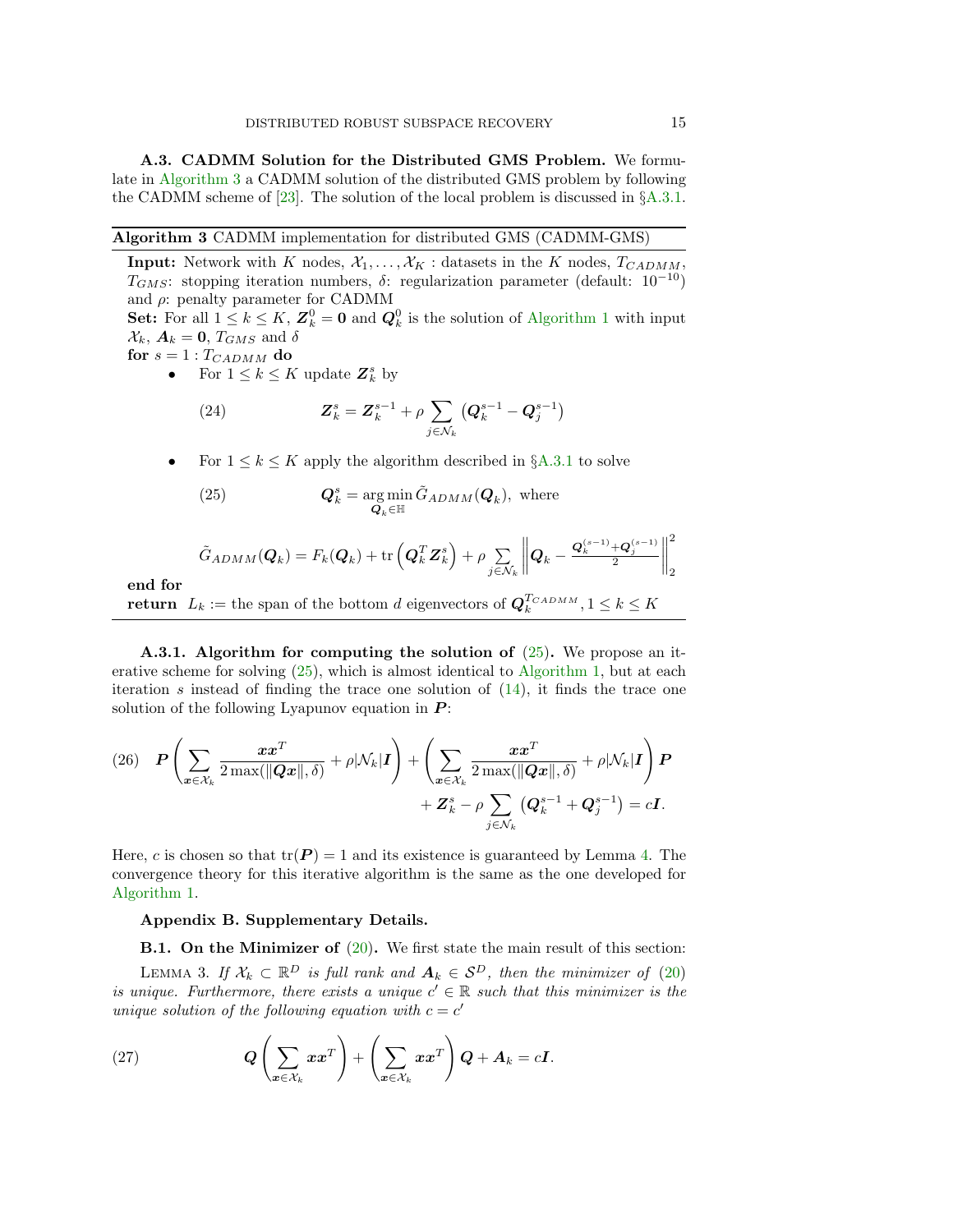<span id="page-14-0"></span>A.3. CADMM Solution for the Distributed GMS Problem. We formulate in [Algorithm 3](#page-14-4) a CADMM solution of the distributed GMS problem by following the CADMM scheme of [\[23\]](#page-22-8). The solution of the local problem is discussed in  $\S A.3.1$ .

<span id="page-14-4"></span>Algorithm 3 CADMM implementation for distributed GMS (CADMM-GMS)

**Input:** Network with K nodes,  $\mathcal{X}_1, \ldots, \mathcal{X}_K$  : datasets in the K nodes,  $T_{CADMM}$ ,  $T_{GMS}$ : stopping iteration numbers,  $\delta$ : regularization parameter (default: 10<sup>-10</sup>) and  $\rho$ : penalty parameter for CADMM

**Set:** For all  $1 \leq k \leq K$ ,  $\mathbb{Z}_k^0 = \mathbf{0}$  and  $\mathbb{Q}_k^0$  is the solution of [Algorithm 1](#page-5-0) with input  $\mathcal{X}_k$ ,  $\mathbf{A}_k = \mathbf{0}$ ,  $T_{GMS}$  and  $\delta$ 

for  $s = 1$  :  $T_{CADMM}$  do

• For  $1 \leq k \leq K$  update  $\mathbb{Z}_{k}^{s}$  by

<span id="page-14-2"></span>(24) 
$$
\mathbf{Z}_{k}^{s} = \mathbf{Z}_{k}^{s-1} + \rho \sum_{j \in \mathcal{N}_{k}} (\mathbf{Q}_{k}^{s-1} - \mathbf{Q}_{j}^{s-1})
$$

For  $1 \leq k \leq K$  apply the algorithm described in §[A.3.1](#page-14-5) to solve

<span id="page-14-6"></span>(25) 
$$
\mathbf{Q}_k^s = \operatorname*{arg\,min}_{\mathbf{Q}_k \in \mathbb{H}} \tilde{G}_{ADMM}(\mathbf{Q}_k), \text{ where}
$$

$$
\tilde{G}_{ADMM}(\boldsymbol{Q}_k) = F_k(\boldsymbol{Q}_k) + \text{tr}\left(\boldsymbol{Q}_k^T\boldsymbol{Z}_k^s\right) + \rho \sum_{j \in \mathcal{N}_k} \left\| \boldsymbol{Q}_k - \frac{\boldsymbol{Q}_k^{(s-1)} + \boldsymbol{Q}_j^{(s-1)}}{2} \right\|_2^2
$$

end for

**return**  $L_k :=$  the span of the bottom d eigenvectors of  $Q_k^{T_{CADMM}}$ ,  $1 \leq k \leq K$ 

<span id="page-14-5"></span>**A.3.1.** Algorithm for computing the solution of  $(25)$ . We propose an iterative scheme for solving [\(25\)](#page-14-6), which is almost identical to [Algorithm 1,](#page-5-0) but at each iteration s instead of finding the trace one solution of  $(14)$ , it finds the trace one solution of the following Lyapunov equation in  $P$ :

(26) 
$$
\mathbf{P}\left(\sum_{\mathbf{x}\in\mathcal{X}_k}\frac{\mathbf{x}\mathbf{x}^T}{2\max(\|\mathbf{Q}\mathbf{x}\|,\delta)}+\rho|\mathcal{N}_k|\mathbf{I}\right)+\left(\sum_{\mathbf{x}\in\mathcal{X}_k}\frac{\mathbf{x}\mathbf{x}^T}{2\max(\|\mathbf{Q}\mathbf{x}\|,\delta)}+\rho|\mathcal{N}_k|\mathbf{I}\right)\mathbf{P} + \mathbf{Z}_k^s-\rho\sum_{j\in\mathcal{N}_k}\left(\mathbf{Q}_k^{s-1}+\mathbf{Q}_j^{s-1}\right)=c\mathbf{I}.
$$

Here, c is chosen so that  $tr(P) = 1$  and its existence is guaranteed by Lemma [4.](#page-15-2) The convergence theory for this iterative algorithm is the same as the one developed for [Algorithm 1.](#page-5-0)

# <span id="page-14-1"></span>Appendix B. Supplementary Details.

<span id="page-14-7"></span>**B.1.** On the Minimizer of  $(20)$ . We first state the main result of this section:

<span id="page-14-3"></span>LEMMA 3. If  $\mathcal{X}_k \subset \mathbb{R}^D$  is full rank and  $\mathbf{A}_k \in \mathcal{S}^D$ , then the minimizer of [\(20\)](#page-13-1) is unique. Furthermore, there exists a unique  $c' \in \mathbb{R}$  such that this minimizer is the unique solution of the following equation with  $c = c'$ 

<span id="page-14-8"></span>(27) 
$$
Q\left(\sum_{x\in\mathcal{X}_k}xx^T\right)+\left(\sum_{x\in\mathcal{X}_k}xx^T\right)Q+A_k=cI.
$$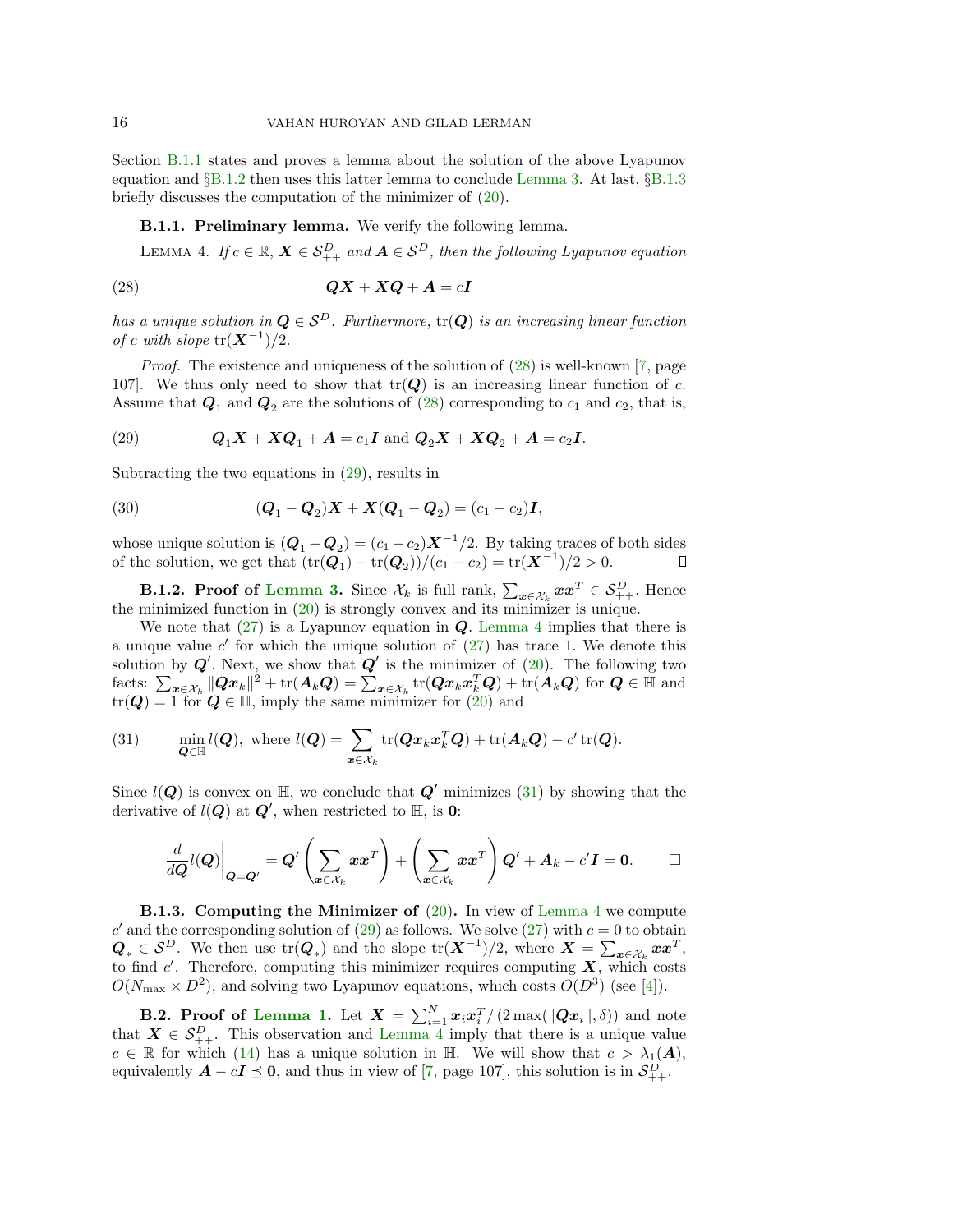Section [B.1.1](#page-15-3) states and proves a lemma about the solution of the above Lyapunov equation and  $\S 1.2$  then uses this latter lemma to conclude [Lemma 3.](#page-14-7) At last,  $\S 1.3$ briefly discusses the computation of the minimizer of [\(20\)](#page-13-1).

<span id="page-15-3"></span>B.1.1. Preliminary lemma. We verify the following lemma.

<span id="page-15-2"></span>LEMMA 4. If  $c \in \mathbb{R}$ ,  $\bm{X} \in \mathcal{S}_{++}^D$  and  $\bm{A} \in \mathcal{S}^D$ , then the following Lyapunov equation

$$
QX + XQ + A = cI
$$

has a unique solution in  $\mathbf{Q} \in \mathcal{S}^D$ . Furthermore,  $\text{tr}(\mathbf{Q})$  is an increasing linear function of c with slope  $tr(\mathbf{X}^{-1})/2$ .

*Proof.* The existence and uniqueness of the solution of  $(28)$  is well-known [\[7,](#page-22-26) page 107. We thus only need to show that  $tr(Q)$  is an increasing linear function of c. Assume that  $\mathbf{Q}_1$  and  $\mathbf{Q}_2$  are the solutions of [\(28\)](#page-15-2) corresponding to  $c_1$  and  $c_2$ , that is,

<span id="page-15-5"></span>(29) 
$$
Q_1X + XQ_1 + A = c_1I
$$
 and  $Q_2X + XQ_2 + A = c_2I$ .

Subtracting the two equations in [\(29\)](#page-15-5), results in

(30) 
$$
(Q_1 - Q_2)X + X(Q_1 - Q_2) = (c_1 - c_2)I,
$$

whose unique solution is  $(Q_1 - Q_2) = (c_1 - c_2)X^{-1}/2$ . By taking traces of both sides of the solution, we get that  $(tr(Q_1) - tr(Q_2)) / (c_1 - c_2) = tr(X^{-1})/2 > 0$ .

<span id="page-15-4"></span>**B.1.2.** Proof of [Lemma 3.](#page-14-7) Since  $\mathcal{X}_k$  is full rank,  $\sum_{x \in \mathcal{X}_k} xx^T \in \mathcal{S}_{++}^D$ . Hence the minimized function in [\(20\)](#page-13-1) is strongly convex and its minimizer is unique.

We note that  $(27)$  is a Lyapunov equation in Q. [Lemma 4](#page-15-2) implies that there is a unique value  $c'$  for which the unique solution of  $(27)$  has trace 1. We denote this solution by  $Q'$ . Next, we show that  $Q'$  is the minimizer of [\(20\)](#page-13-1). The following two  $\text{facts: } \sum_{\bm{x}\in\mathcal{X}_k} \|\bm{Q}\bm{x}_k\|^2 + \text{tr}(\bm{A}_k\bm{Q}) = \sum_{\bm{x}\in\mathcal{X}_k} \text{tr}(\bm{Q}\bm{x}_k\bm{x}_k^T\bm{Q}) + \text{tr}(\bm{A}_k\bm{Q}) \text{ for } \bm{Q} \in \mathbb{H} \text{ and }$  $\text{tr}(\boldsymbol{Q}) = 1$  for  $\boldsymbol{Q} \in \mathbb{H}$ , imply the same minimizer for  $(20)$  and

<span id="page-15-6"></span>(31) 
$$
\min_{\mathbf{Q}\in\mathbb{H}} l(\mathbf{Q}), \text{ where } l(\mathbf{Q})=\sum_{\mathbf{x}\in\mathcal{X}_k} \text{tr}(\mathbf{Q}\mathbf{x}_k\mathbf{x}_k^T\mathbf{Q})+\text{tr}(\mathbf{A}_k\mathbf{Q})-c'\,\text{tr}(\mathbf{Q}).
$$

Since  $l(Q)$  is convex on H, we conclude that  $Q'$  minimizes [\(31\)](#page-15-6) by showing that the derivative of  $l(Q)$  at  $Q'$ , when restricted to  $\mathbb{H}$ , is 0:

$$
\frac{d}{d\mathbf{Q}}l(\mathbf{Q})\bigg|_{\mathbf{Q}=\mathbf{Q}'}=\mathbf{Q}'\left(\sum_{\boldsymbol{x}\in\mathcal{X}_k}\boldsymbol{x}\boldsymbol{x}^T\right)+\left(\sum_{\boldsymbol{x}\in\mathcal{X}_k}\boldsymbol{x}\boldsymbol{x}^T\right)\mathbf{Q}'+\boldsymbol{A}_k-c'\boldsymbol{I}=\mathbf{0}.\qquad \Box
$$

<span id="page-15-1"></span>**B.1.3. Computing the Minimizer of**  $(20)$ . In view of [Lemma 4](#page-15-2) we compute c' and the corresponding solution of  $(29)$  as follows. We solve  $(27)$  with  $c = 0$  to obtain  $Q_* \in \mathcal{S}^D$ . We then use  $\text{tr}(Q_*)$  and the slope  $\text{tr}(X^{-1})/2$ , where  $X = \sum_{x \in \mathcal{X}_k} x x^T$ , to find  $c'$ . Therefore, computing this minimizer requires computing  $X$ , which costs  $O(N_{\text{max}} \times D^2)$ , and solving two Lyapunov equations, which costs  $O(D^3)$  (see [\[4\]](#page-21-2)).

<span id="page-15-0"></span>**B.2. Proof of [Lemma 1.](#page-4-5)** Let  $\boldsymbol{X} = \sum_{i=1}^{N} x_i x_i^T / (2 \max(||\boldsymbol{Q} \boldsymbol{x}_i||, \delta))$  and note that  $X \in \mathcal{S}_{++}^D$ . This observation and [Lemma 4](#page-15-2) imply that there is a unique value  $c \in \mathbb{R}$  for which [\(14\)](#page-4-2) has a unique solution in H. We will show that  $c > \lambda_1(A)$ , equivalently  $A - cI \preceq 0$ , and thus in view of [\[7,](#page-22-26) page 107], this solution is in  $S_{++}^D$ .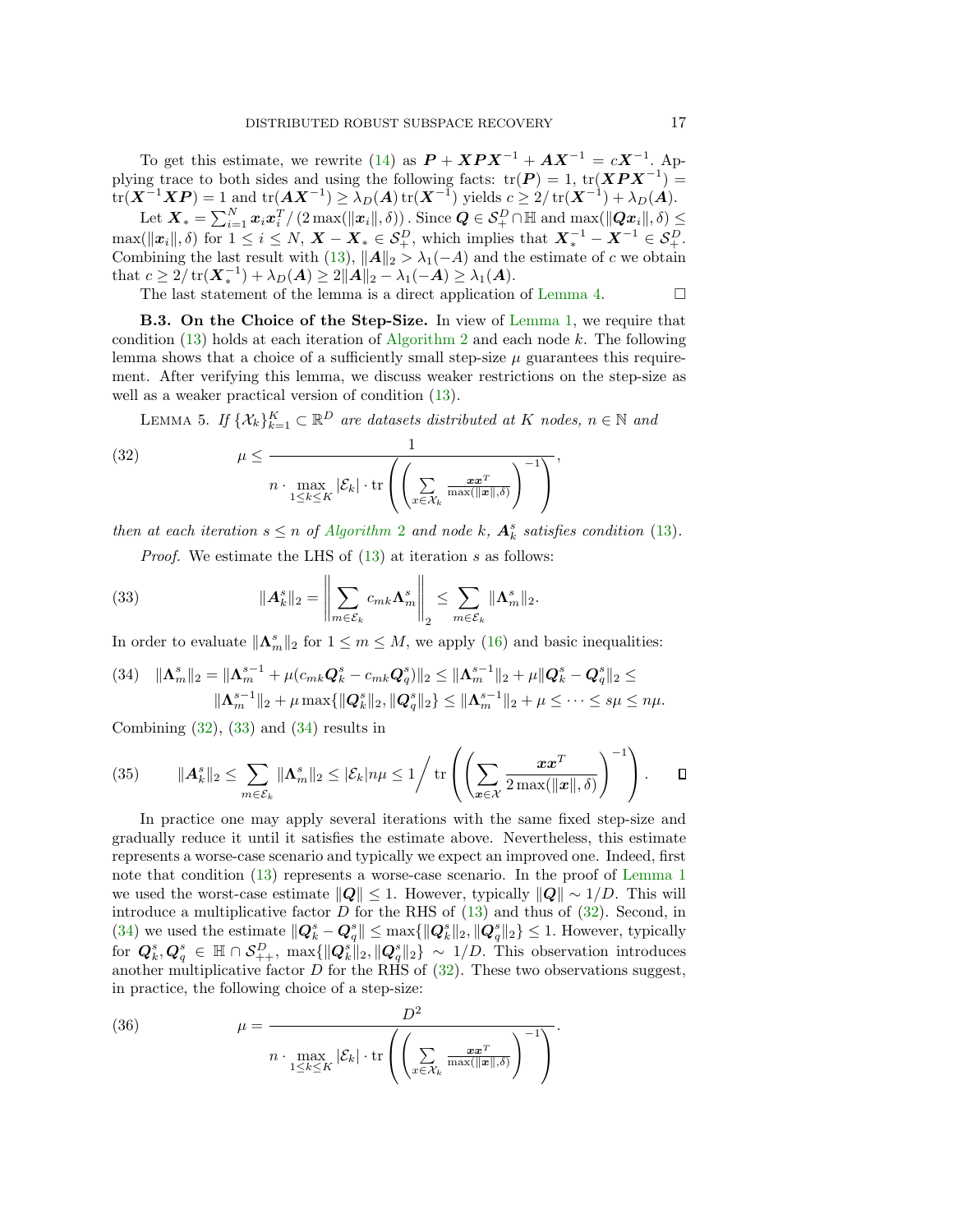To get this estimate, we rewrite [\(14\)](#page-4-2) as  $P + XPX^{-1} + AX^{-1} = cX^{-1}$ . Applying trace to both sides and using the following facts:  $tr(P) = 1$ ,  $tr(XPX^{-1}) =$  $\text{tr}(\boldsymbol{X}^{-1}\boldsymbol{X}\boldsymbol{P}) = 1 \text{ and } \text{tr}(\boldsymbol{A}\boldsymbol{X}^{-1}) \geq \lambda_D(\boldsymbol{A})\,\text{tr}(\boldsymbol{X}^{-1}) \text{ yields } c \geq 2/\,\text{tr}(\boldsymbol{X}^{-1}) + \lambda_D(\boldsymbol{A}).$ 

Let  $\boldsymbol{X}_* = \sum_{i=1}^N \boldsymbol{x}_i \boldsymbol{x}_i^T / \left( 2 \max(\|\boldsymbol{x}_i\|, \delta) \right).$  Since  $\boldsymbol{Q} \in \mathcal{S}_{+}^D \cap \mathbb{H}$  and  $\max(\|\boldsymbol{Qx}_i\|, \delta) \leq \delta$  $\max(\|\boldsymbol{x}_i\|, \delta)$  for  $1 \leq i \leq N$ ,  $\boldsymbol{X} - \boldsymbol{X}_* \in \mathcal{S}_+^D$ , which implies that  $\boldsymbol{X}_*^{-1} - \boldsymbol{X}^{-1} \in \mathcal{S}_+^D$ . Combining the last result with [\(13\)](#page-4-4),  $||A||_2 > \lambda_1(-A)$  and the estimate of c we obtain that  $c \ge 2/\text{tr}(\bm{X}_*^{-1}) + \lambda_D(\bm{A}) \ge 2\|\bm{A}\|_2 - \lambda_1(-\bm{A}) \ge \lambda_1(\bm{A}).$ 

The last statement of the lemma is a direct application of [Lemma 4.](#page-15-2)  $\Box$ 

<span id="page-16-0"></span>B.3. On the Choice of the Step-Size. In view of [Lemma 1,](#page-4-5) we require that condition [\(13\)](#page-4-4) holds at each iteration of [Algorithm 2](#page-5-2) and each node k. The following lemma shows that a choice of a sufficiently small step-size  $\mu$  guarantees this requirement. After verifying this lemma, we discuss weaker restrictions on the step-size as well as a weaker practical version of condition [\(13\)](#page-4-4).

<span id="page-16-2"></span>LEMMA 5. If  $\{\mathcal{X}_k\}_{k=1}^K \subset \mathbb{R}^D$  are datasets distributed at K nodes,  $n \in \mathbb{N}$  and

(32) 
$$
\mu \leq \frac{1}{n \cdot \max_{1 \leq k \leq K} |\mathcal{E}_k| \cdot \text{tr}\left(\left(\sum_{x \in \mathcal{X}_k} \frac{\boldsymbol{x} \boldsymbol{x}^T}{\max(\|\boldsymbol{x}\|,\delta)}\right)^{-1}\right)},
$$

then at each iteration  $s \leq n$  of [Algorithm](#page-5-2) 2 and node k,  $A_k^s$  satisfies condition [\(13\)](#page-4-4).

<span id="page-16-3"></span>*Proof.* We estimate the LHS of  $(13)$  at iteration s as follows:

(33) 
$$
\|A_k^s\|_2 = \left\|\sum_{m\in\mathcal{E}_k} c_{mk} \Lambda_m^s\right\|_2 \leq \sum_{m\in\mathcal{E}_k} \|\Lambda_m^s\|_2.
$$

In order to evaluate  $\|\Lambda_m^s\|_2$  for  $1 \leq m \leq M$ , we apply [\(16\)](#page-4-3) and basic inequalities:

<span id="page-16-4"></span>
$$
(34) \quad \|\mathbf{\Lambda}_{m}^{s}\|_{2} = \|\mathbf{\Lambda}_{m}^{s-1} + \mu(c_{mk}\mathbf{Q}_{k}^{s} - c_{mk}\mathbf{Q}_{q}^{s})\|_{2} \le \|\mathbf{\Lambda}_{m}^{s-1}\|_{2} + \mu \|\mathbf{Q}_{k}^{s} - \mathbf{Q}_{q}^{s}\|_{2} \le
$$

$$
\|\mathbf{\Lambda}_{m}^{s-1}\|_{2} + \mu \max\{\|\mathbf{Q}_{k}^{s}\|_{2}, \|\mathbf{Q}_{q}^{s}\|_{2}\} \le \|\mathbf{\Lambda}_{m}^{s-1}\|_{2} + \mu \le \cdots \le s\mu \le n\mu.
$$

Combining  $(32)$ ,  $(33)$  and  $(34)$  results in

(35) 
$$
\|A_k^s\|_2 \leq \sum_{m \in \mathcal{E}_k} \|\Lambda_m^s\|_2 \leq |\mathcal{E}_k| n\mu \leq 1 \bigg/ \operatorname{tr} \left( \left( \sum_{\bm{x} \in \mathcal{X}} \frac{\bm{x} \bm{x}^T}{2 \max(\|\bm{x}\|, \delta)} \right)^{-1} \right). \qquad \Box
$$

In practice one may apply several iterations with the same fixed step-size and gradually reduce it until it satisfies the estimate above. Nevertheless, this estimate represents a worse-case scenario and typically we expect an improved one. Indeed, first note that condition [\(13\)](#page-4-4) represents a worse-case scenario. In the proof of [Lemma 1](#page-4-5) we used the worst-case estimate  $||Q|| \leq 1$ . However, typically  $||Q|| \sim 1/D$ . This will introduce a multiplicative factor  $D$  for the RHS of  $(13)$  and thus of  $(32)$ . Second, in [\(34\)](#page-16-4) we used the estimate  $\|Q_k^s - Q_q^s\| \leq \max{\{\|Q_k^s\|_2, \|\dot{Q}_q^s\|_2\}} \leq 1$ . However, typically for  $Q_k^s, Q_q^s \in \mathbb{H} \cap \mathcal{S}_{++}^D$ ,  $\max\{\|Q_k^s\|_2, \|Q_q^s\|_2\} \sim 1/D$ . This observation introduces another multiplicative factor  $D$  for the RHS of  $(32)$ . These two observations suggest, in practice, the following choice of a step-size:

<span id="page-16-1"></span>(36) 
$$
\mu = \frac{D^2}{n \cdot \max_{1 \le k \le K} |\mathcal{E}_k| \cdot \text{tr}\left(\left(\sum_{x \in \mathcal{X}_k} \frac{\boldsymbol{x}\boldsymbol{x}^T}{\max(\|\boldsymbol{x}\|,\delta)}\right)^{-1}\right)}.
$$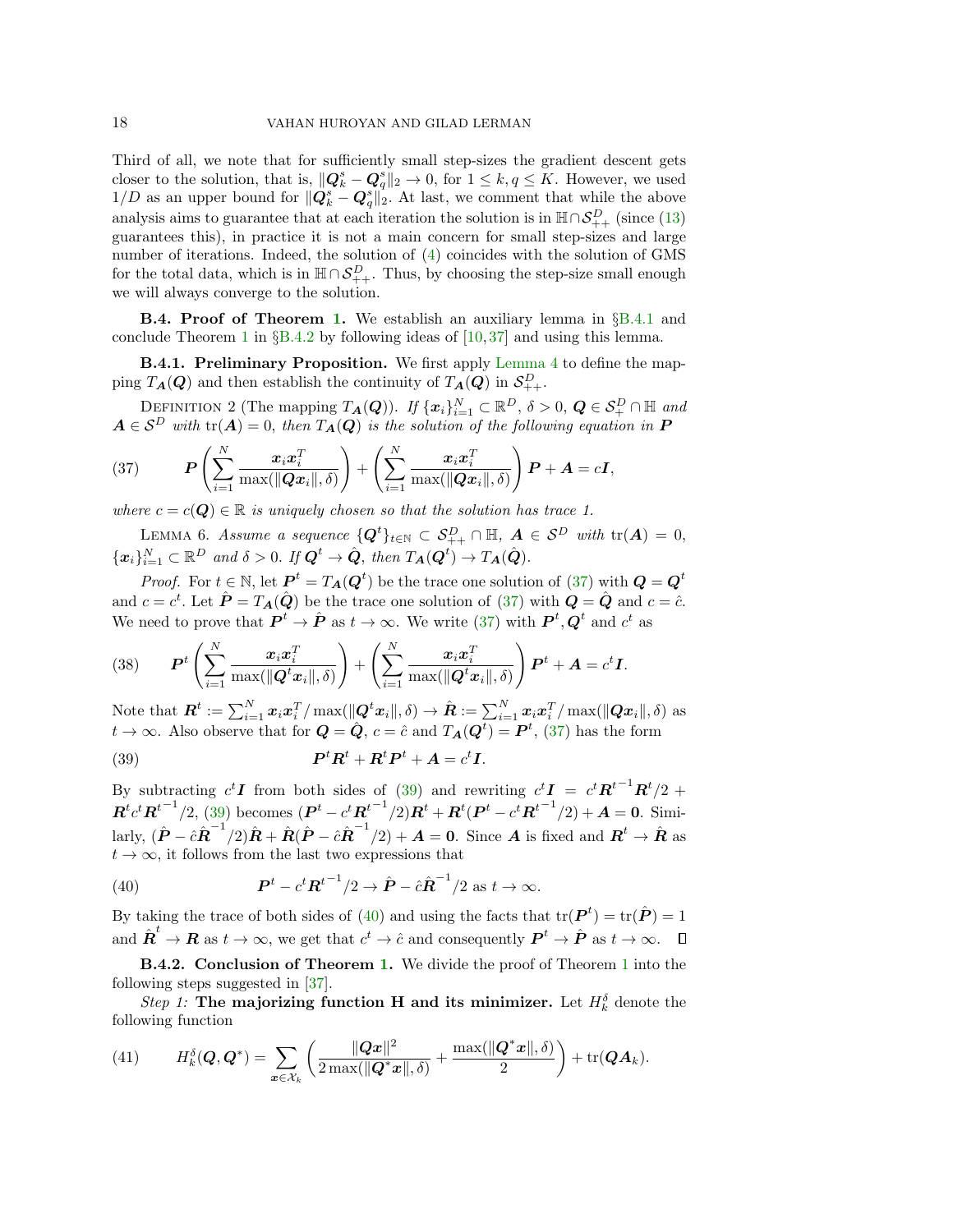Third of all, we note that for sufficiently small step-sizes the gradient descent gets closer to the solution, that is,  $\|\mathbf{Q}_k^s - \mathbf{Q}_q^s\|_2 \to 0$ , for  $1 \leq k, q \leq K$ . However, we used  $1/D$  as an upper bound for  $\|\hat{\boldsymbol{Q}}_k^s - \hat{\boldsymbol{Q}}_q^s\|_2^2$ . At last, we comment that while the above analysis aims to guarantee that at each iteration the solution is in  $\mathbb{H} \cap \mathcal{S}_{++}^D$  (since [\(13\)](#page-4-4) guarantees this), in practice it is not a main concern for small step-sizes and large number of iterations. Indeed, the solution of [\(4\)](#page-2-2) coincides with the solution of GMS for the total data, which is in  $\mathbb{H} \cap \mathcal{S}_{++}^D$ . Thus, by choosing the step-size small enough we will always converge to the solution.

<span id="page-17-0"></span>B.4. Proof of Theorem [1.](#page-6-5) We establish an auxiliary lemma in §[B.4.1](#page-17-1) and conclude Theorem [1](#page-6-5) in  $\S 8.4.2$  by following ideas of [\[10,](#page-22-25) [37\]](#page-23-4) and using this lemma.

<span id="page-17-1"></span>B.4.1. Preliminary Proposition. We first apply [Lemma 4](#page-15-2) to define the mapping  $T_{\mathbf{A}}(\mathbf{Q})$  and then establish the continuity of  $T_{\mathbf{A}}(\mathbf{Q})$  in  $\mathcal{S}_{++}^D$ .

DEFINITION 2 (The mapping  $T_{\boldsymbol{A}}(\boldsymbol{Q})$ ). If  $\{\boldsymbol{x}_i\}_{i=1}^N \subset \mathbb{R}^D$ ,  $\delta > 0$ ,  $\boldsymbol{Q} \in \mathcal{S}_{+}^D \cap \mathbb{H}$  and  $A \in S^D$  with  $tr(A) = 0$ , then  $T_A(Q)$  is the solution of the following equation in P

<span id="page-17-3"></span>(37) 
$$
\boldsymbol{P}\left(\sum_{i=1}^N \frac{\boldsymbol{x}_i \boldsymbol{x}_i^T}{\max(\|\boldsymbol{Q}\boldsymbol{x}_i\|,\delta)}\right) + \left(\sum_{i=1}^N \frac{\boldsymbol{x}_i \boldsymbol{x}_i^T}{\max(\|\boldsymbol{Q}\boldsymbol{x}_i\|,\delta)}\right) \boldsymbol{P} + \boldsymbol{A} = c\boldsymbol{I},
$$

where  $c = c(Q) \in \mathbb{R}$  is uniquely chosen so that the solution has trace 1.

<span id="page-17-7"></span>LEMMA 6. Assume a sequence  $\{Q^t\}_{t\in\mathbb{N}}\subset\mathcal{S}_{++}^D\cap\mathbb{H}$ ,  $\bm{A}\in\mathcal{S}^D$  with  $\mathrm{tr}(\bm{A})=0,$  $\{\boldsymbol{x}_i\}_{i=1}^N \subset \mathbb{R}^D$  and  $\delta > 0$ . If  $\boldsymbol{Q}^t \to \hat{\boldsymbol{Q}}$ , then  $T_{\boldsymbol{A}}(\boldsymbol{Q}^t) \to T_{\boldsymbol{A}}(\hat{\boldsymbol{Q}})$ .

*Proof.* For  $t \in \mathbb{N}$ , let  $P^t = T_A(Q^t)$  be the trace one solution of [\(37\)](#page-17-3) with  $Q = Q^t$ and  $c = c^t$ . Let  $\hat{\mathbf{P}} = T_{\mathbf{A}}(\hat{\mathbf{Q}})$  be the trace one solution of [\(37\)](#page-17-3) with  $\mathbf{Q} = \hat{\mathbf{Q}}$  and  $c = \hat{c}$ . We need to prove that  $P^t \to \hat{P}$  as  $t \to \infty$ . We write [\(37\)](#page-17-3) with  $P^t, Q^t$  and  $c^t$  as

(38) 
$$
\boldsymbol{P}^t \left( \sum_{i=1}^N \frac{\boldsymbol{x}_i \boldsymbol{x}_i^T}{\max(\|\boldsymbol{Q}^t \boldsymbol{x}_i\|, \delta)} \right) + \left( \sum_{i=1}^N \frac{\boldsymbol{x}_i \boldsymbol{x}_i^T}{\max(\|\boldsymbol{Q}^t \boldsymbol{x}_i\|, \delta)} \right) \boldsymbol{P}^t + \boldsymbol{A} = c^t \boldsymbol{I}.
$$

Note that  $\boldsymbol{R}^t := \sum_{i=1}^N \boldsymbol{x}_i \boldsymbol{x}_i^T / \max(||\boldsymbol{Q}^t \boldsymbol{x}_i||, \delta) \rightarrow \hat{\boldsymbol{R}} := \sum_{i=1}^N \boldsymbol{x}_i \boldsymbol{x}_i^T / \max(||\boldsymbol{Q} \boldsymbol{x}_i||, \delta)$  as  $t \to \infty$ . Also observe that for  $\mathbf{Q} = \hat{\mathbf{Q}}$ ,  $c = \hat{c}$  and  $T_{\mathbf{A}}(\mathbf{Q}^t) = \mathbf{P}^t$ , [\(37\)](#page-17-3) has the form

<span id="page-17-4"></span>(39) 
$$
\boldsymbol{P}^t \boldsymbol{R}^t + \boldsymbol{R}^t \boldsymbol{P}^t + \boldsymbol{A} = c^t \boldsymbol{I}.
$$

By subtracting  $c^t I$  from both sides of [\(39\)](#page-17-4) and rewriting  $c^t I = c^t R^{t-1} R^t / 2 +$  $R^t c^t R^{t-1/2}$ , [\(39\)](#page-17-4) becomes  $(P^t - c^t R^{t-1/2}) R^t + R^t (P^t - c^t R^{t-1/2}) + A = 0$ . Similarly,  $(\hat{\boldsymbol{P}} - \hat{c}\hat{\boldsymbol{R}}^{-1}/2)\hat{\boldsymbol{R}} + \hat{\boldsymbol{R}}(\hat{\boldsymbol{P}} - \hat{c}\hat{\boldsymbol{R}}^{-1}/2) + \boldsymbol{A} = \boldsymbol{0}$ . Since  $\boldsymbol{A}$  is fixed and  $\boldsymbol{R}^{t} \to \hat{\boldsymbol{R}}$  as  $t \to \infty$ , it follows from the last two expressions that

<span id="page-17-5"></span>(40) 
$$
\boldsymbol{P}^t - c^t \boldsymbol{R}^{t-1}/2 \to \hat{\boldsymbol{P}} - \hat{c} \hat{\boldsymbol{R}}^{-1}/2 \text{ as } t \to \infty.
$$

By taking the trace of both sides of [\(40\)](#page-17-5) and using the facts that  $tr(\mathbf{P}^t) = tr(\hat{\mathbf{P}}) = 1$ and  $\hat{\boldsymbol{R}}^t \to \boldsymbol{R}$  as  $t \to \infty$ , we get that  $c^t \to \hat{c}$  and consequently  $\boldsymbol{P}^t \to \hat{\boldsymbol{P}}$  as  $t \to \infty$ .

<span id="page-17-2"></span>B.4.2. Conclusion of Theorem [1.](#page-6-5) We divide the proof of Theorem [1](#page-6-5) into the following steps suggested in [\[37\]](#page-23-4).

Step 1: The majorizing function H and its minimizer. Let  $H_k^{\delta}$  denote the following function

<span id="page-17-6"></span>(41) 
$$
H_k^{\delta}(\boldsymbol{Q},\boldsymbol{Q}^*)=\sum_{\boldsymbol{x}\in\mathcal{X}_k}\left(\frac{\|\boldsymbol{Q}\boldsymbol{x}\|^2}{2\max(\|\boldsymbol{Q}^*\boldsymbol{x}\|,\delta)}+\frac{\max(\|\boldsymbol{Q}^*\boldsymbol{x}\|,\delta)}{2}\right)+\text{tr}(\boldsymbol{Q}\boldsymbol{A}_k).
$$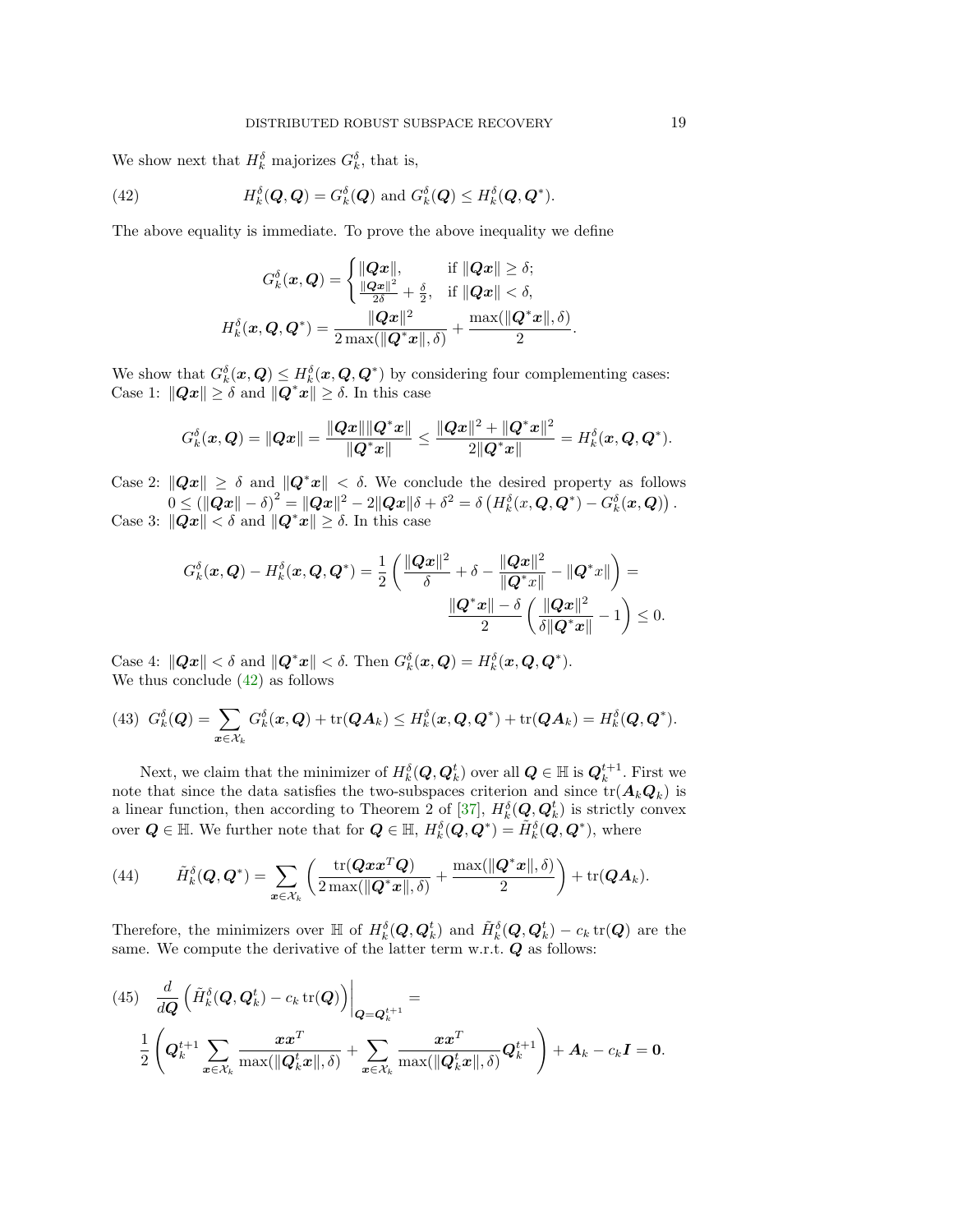We show next that  $H_k^{\delta}$  majorizes  $G_k^{\delta}$ , that is,

(42) 
$$
H_k^{\delta}(\boldsymbol{Q},\boldsymbol{Q})=G_k^{\delta}(\boldsymbol{Q}) \text{ and } G_k^{\delta}(\boldsymbol{Q})\leq H_k^{\delta}(\boldsymbol{Q},\boldsymbol{Q}^*).
$$

The above equality is immediate. To prove the above inequality we define

<span id="page-18-0"></span>
$$
G_k^\delta(\mathbf{x},\mathbf{Q}) = \begin{cases} \|\mathbf{Q}\mathbf{x}\|, & \text{if } \|\mathbf{Q}\mathbf{x}\| \geq \delta; \\ \frac{\|\mathbf{Q}\mathbf{x}\|^2}{2\delta} + \frac{\delta}{2}, & \text{if } \|\mathbf{Q}\mathbf{x}\| < \delta, \\ H_k^\delta(\mathbf{x},\mathbf{Q},\mathbf{Q}^*) = \frac{\|\mathbf{Q}\mathbf{x}\|^2}{2\max(\|\mathbf{Q}^*\mathbf{x}\|,\delta)} + \frac{\max(\|\mathbf{Q}^*\mathbf{x}\|,\delta)}{2}. \end{cases}
$$

We show that  $G_k^{\delta}(\bm{x},\bm{Q}) \leq H_k^{\delta}(\bm{x},\bm{Q},\bm{Q}^*)$  by considering four complementing cases: Case 1:  $||\mathbf{Qx}|| \geq \delta$  and  $||\mathbf{Q}^*\mathbf{x}|| \geq \delta$ . In this case

$$
G_k^\delta(\bm{x},\bm{Q}) = \|\bm{Qx}\| = \frac{\|\bm{Qx}\|\|\bm{Q}^*\bm{x}\|}{\|\bm{Q}^*\bm{x}\|} \leq \frac{\|\bm{Qx}\|^2 + \|\bm{Q}^*\bm{x}\|^2}{2\|\bm{Q}^*\bm{x}\|} = H_k^\delta(\bm{x},\bm{Q},\bm{Q}^*).
$$

Case 2:  $||Qx|| \geq \delta$  and  $||Q^*x|| < \delta$ . We conclude the desired property as follows  $0\leq \left(\|\bm{Q}\bm{x}\|-\delta\right)^2=\|\bm{Q}\bm{x}\|^2-2\|\bm{Q}\bm{x}\|\delta+\delta^2=\delta\left(H^{\delta}_k(x,\bm{Q},\bm{Q}^*)-G^{\delta}_k(\bm{x},\bm{Q})\right).$ 

Case 3:  $||\boldsymbol{Q}\boldsymbol{x}|| < \delta$  and  $||\boldsymbol{Q}^*\boldsymbol{x}|| \geq \delta$ . In this case

$$
G_k^\delta(\mathbf{x},\boldsymbol{Q})-H_k^\delta(\mathbf{x},\boldsymbol{Q},\boldsymbol{Q}^*)=\frac{1}{2}\left(\frac{\|\boldsymbol{Q}\boldsymbol{x}\|^2}{\delta}+\delta-\frac{\|\boldsymbol{Q}\boldsymbol{x}\|^2}{\|\boldsymbol{Q}^*\boldsymbol{x}\|}-\|\boldsymbol{Q}^*\boldsymbol{x}\|\right)=\\\frac{\|\boldsymbol{Q}^*\boldsymbol{x}\|-\delta}{2}\left(\frac{\|\boldsymbol{Q}\boldsymbol{x}\|^2}{\delta\|\boldsymbol{Q}^*\boldsymbol{x}\|}-1\right)\leq 0.
$$

Case 4:  $||\mathbf{Qx}|| < \delta$  and  $||\mathbf{Q}^* \mathbf{x}|| < \delta$ . Then  $G_k^{\delta}(\mathbf{x}, \mathbf{Q}) = H_k^{\delta}(\mathbf{x}, \mathbf{Q}, \mathbf{Q}^*).$ We thus conclude [\(42\)](#page-18-0) as follows

<span id="page-18-2"></span>(43) 
$$
G_k^{\delta}(\mathbf{Q}) = \sum_{\mathbf{x} \in \mathcal{X}_k} G_k^{\delta}(\mathbf{x}, \mathbf{Q}) + \text{tr}(\mathbf{Q}\mathbf{A}_k) \le H_k^{\delta}(\mathbf{x}, \mathbf{Q}, \mathbf{Q}^*) + \text{tr}(\mathbf{Q}\mathbf{A}_k) = H_k^{\delta}(\mathbf{Q}, \mathbf{Q}^*).
$$

Next, we claim that the minimizer of  $H_k^{\delta}(\mathbf{Q}, \mathbf{Q}_k^t)$  over all  $\mathbf{Q} \in \mathbb{H}$  is  $\mathbf{Q}_k^{t+1}$ . First we note that since the data satisfies the two-subspaces criterion and since  $\text{tr}(\boldsymbol{A}_k\boldsymbol{Q}_k)$  is a linear function, then according to Theorem 2 of [\[37\]](#page-23-4),  $H_k^{\delta}(\mathbf{Q}, \mathbf{Q}_k^t)$  is strictly convex over  $Q \in \mathbb{H}$ . We further note that for  $Q \in \mathbb{H}$ ,  $H_k^{\delta}(Q, Q^*) = \tilde{H}_k^{\delta}(Q, Q^*)$ , where

(44) 
$$
\widetilde{H}_k^{\delta}(\boldsymbol{Q},\boldsymbol{Q}^*)=\sum_{\boldsymbol{x}\in\mathcal{X}_k}\left(\frac{\mathrm{tr}(\boldsymbol{Q}\boldsymbol{x}\boldsymbol{x}^T\boldsymbol{Q})}{2\max(\|\boldsymbol{Q}^*\boldsymbol{x}\|,\delta)}+\frac{\max(\|\boldsymbol{Q}^*\boldsymbol{x}\|,\delta)}{2}\right)+\mathrm{tr}(\boldsymbol{Q}\boldsymbol{A}_k).
$$

Therefore, the minimizers over  $\mathbb{H}$  of  $H_k^{\delta}(Q, Q_k^t)$  and  $\tilde{H}_k^{\delta}(Q, Q_k^t) - c_k \text{tr}(Q)$  are the same. We compute the derivative of the latter term w.r.t.  $Q$  as follows:

<span id="page-18-1"></span>
$$
(45) \frac{d}{d\mathbf{Q}}\left(\tilde{H}_{k}^{\delta}(\mathbf{Q},\mathbf{Q}_{k}^{t})-c_{k}\operatorname{tr}(\mathbf{Q})\right)\Big|_{\mathbf{Q}=\mathbf{Q}_{k}^{t+1}}=\frac{1}{2}\left(\mathbf{Q}_{k}^{t+1}\sum_{\mathbf{x}\in\mathcal{X}_{k}}\frac{\mathbf{x}\mathbf{x}^{T}}{\max(\|\mathbf{Q}_{k}^{t}\mathbf{x}\|,\delta)}+\sum_{\mathbf{x}\in\mathcal{X}_{k}}\frac{\mathbf{x}\mathbf{x}^{T}}{\max(\|\mathbf{Q}_{k}^{t}\mathbf{x}\|,\delta)}\mathbf{Q}_{k}^{t+1}\right)+\mathbf{A}_{k}-c_{k}\mathbf{I}=\mathbf{0}.
$$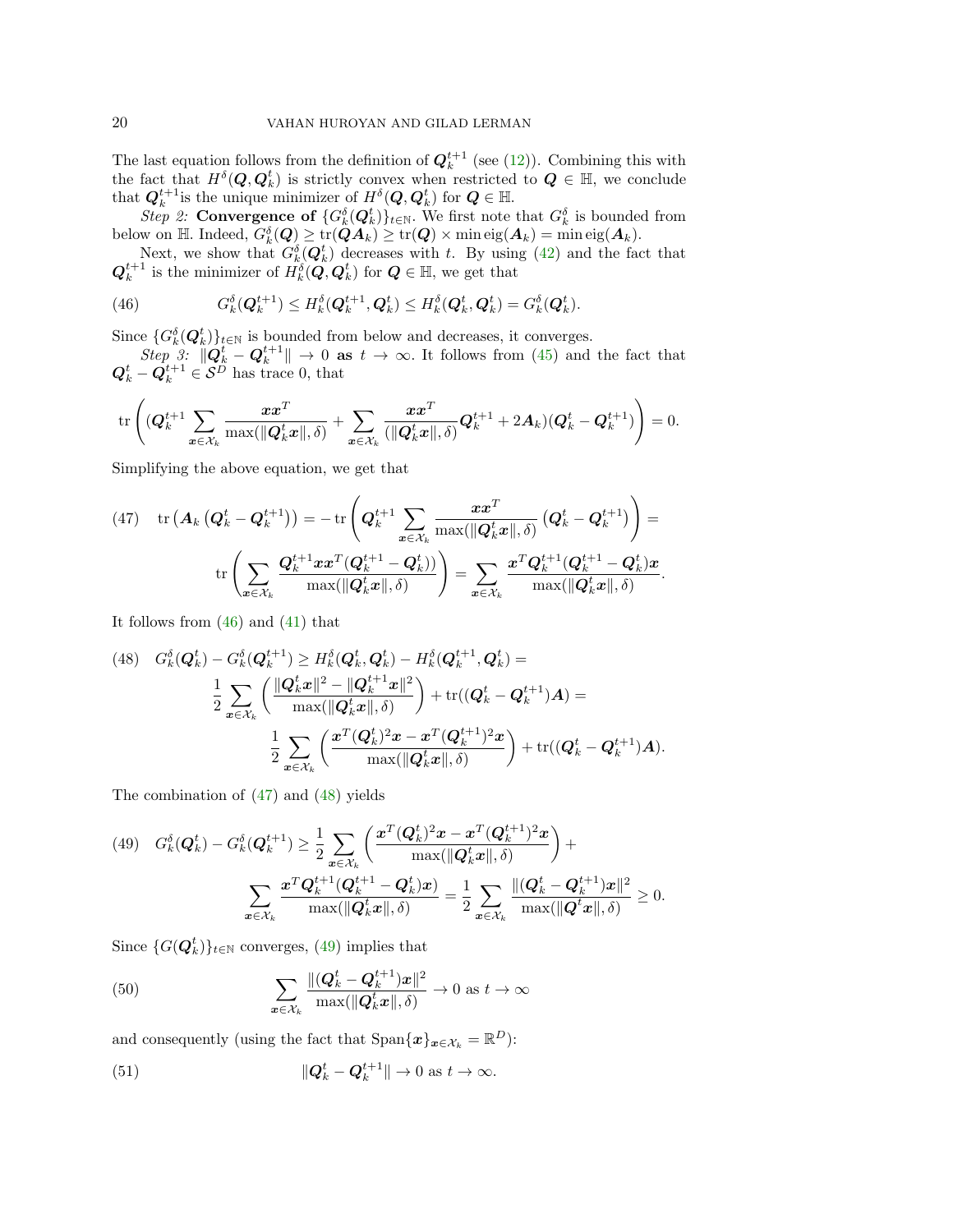The last equation follows from the definition of  $Q_k^{t+1}$  (see [\(12\)](#page-4-1)). Combining this with the fact that  $H^{\delta}(Q, Q_k^t)$  is strictly convex when restricted to  $Q \in \mathbb{H}$ , we conclude that  $Q_k^{t+1}$  is the unique minimizer of  $H^{\delta}(Q, Q_k^t)$  for  $Q \in \mathbb{H}$ .

Step 2: Convergence of  $\{G_k^{\delta}(\boldsymbol{Q}_k^t)\}_{t\in\mathbb{N}}$ . We first note that  $G_k^{\delta}$  is bounded from below on  $\mathbb H.$  Indeed,  $G_k^{\delta}(\mathbf Q) \geq \text{tr}(\mathbf Q \mathbf A_k) \geq \text{tr}(\mathbf Q) \times \min \text{eig}(\mathbf A_k) = \min \text{eig}(\mathbf A_k).$ 

Next, we show that  $G_k^{\delta}(\mathbf{Q}_k^t)$  decreases with t. By using [\(42\)](#page-18-0) and the fact that  $Q_k^{t+1}$  is the minimizer of  $H_k^{\delta}(\mathbf{Q}, \mathbf{Q}_k^t)$  for  $\mathbf{Q} \in \mathbb{H}$ , we get that

<span id="page-19-0"></span>(46) 
$$
G_k^{\delta}(\mathbf{Q}_k^{t+1}) \leq H_k^{\delta}(\mathbf{Q}_k^{t+1}, \mathbf{Q}_k^t) \leq H_k^{\delta}(\mathbf{Q}_k^t, \mathbf{Q}_k^t) = G_k^{\delta}(\mathbf{Q}_k^t).
$$

Since  $\{G_k^{\delta}(\mathbf{Q}_k^t)\}_{t\in\mathbb{N}}$  is bounded from below and decreases, it converges.

 $Step 3: \|Q_k^t - Q_k^{t+1}\| \to 0$  as  $t \to \infty$ . It follows from [\(45\)](#page-18-1) and the fact that  $\boldsymbol{Q}_{k}^{t} - \boldsymbol{Q}_{k}^{t+1} \in \mathcal{S}^{\tilde{D}}$  has trace 0, that

$$
\mathrm{tr}\left((\boldsymbol{Q}_{k}^{t+1}\sum_{\boldsymbol{x}\in\mathcal{X}_{k}}\frac{\boldsymbol{x}\boldsymbol{x}^{T}}{\max(\|\boldsymbol{Q}_{k}^{t}\boldsymbol{x}\|,\delta)}+\sum_{\boldsymbol{x}\in\mathcal{X}_{k}}\frac{\boldsymbol{x}\boldsymbol{x}^{T}}{(\|\boldsymbol{Q}_{k}^{t}\boldsymbol{x}\|,\delta)}\boldsymbol{Q}_{k}^{t+1}+2\boldsymbol{A}_{k})(\boldsymbol{Q}_{k}^{t}-\boldsymbol{Q}_{k}^{t+1})\right)=0.
$$

Simplifying the above equation, we get that

<span id="page-19-1"></span>
$$
(47) \quad \text{tr}\left(\mathbf{A}_{k}\left(\mathbf{Q}_{k}^{t}-\mathbf{Q}_{k}^{t+1}\right)\right)=-\text{tr}\left(\mathbf{Q}_{k}^{t+1}\sum_{\mathbf{x}\in\mathcal{X}_{k}}\frac{\mathbf{x}\mathbf{x}^{T}}{\max(\|\mathbf{Q}_{k}^{t}\mathbf{x}\|,\delta)}\left(\mathbf{Q}_{k}^{t}-\mathbf{Q}_{k}^{t+1}\right)\right)=\n \text{tr}\left(\sum_{\mathbf{x}\in\mathcal{X}_{k}}\frac{\mathbf{Q}_{k}^{t+1}\mathbf{x}\mathbf{x}^{T}(\mathbf{Q}_{k}^{t+1}-\mathbf{Q}_{k}^{t})}{\max(\|\mathbf{Q}_{k}^{t}\mathbf{x}\|,\delta)}\right)=\sum_{\mathbf{x}\in\mathcal{X}_{k}}\frac{\mathbf{x}^{T}\mathbf{Q}_{k}^{t+1}(\mathbf{Q}_{k}^{t+1}-\mathbf{Q}_{k}^{t})\mathbf{x}}{\max(\|\mathbf{Q}_{k}^{t}\mathbf{x}\|,\delta)}
$$

.

It follows from [\(46\)](#page-19-0) and [\(41\)](#page-17-6) that

<span id="page-19-2"></span>(48) 
$$
G_k^{\delta}(\mathbf{Q}_k^t) - G_k^{\delta}(\mathbf{Q}_k^{t+1}) \ge H_k^{\delta}(\mathbf{Q}_k^t, \mathbf{Q}_k^t) - H_k^{\delta}(\mathbf{Q}_k^{t+1}, \mathbf{Q}_k^t) =
$$
  

$$
\frac{1}{2} \sum_{\mathbf{x} \in \mathcal{X}_k} \left( \frac{\|\mathbf{Q}_k^t \mathbf{x}\|^2 - \|\mathbf{Q}_k^{t+1} \mathbf{x}\|^2}{\max(\|\mathbf{Q}_k^t \mathbf{x}\|, \delta)} \right) + \text{tr}((\mathbf{Q}_k^t - \mathbf{Q}_k^{t+1})\mathbf{A}) =
$$
  

$$
\frac{1}{2} \sum_{\mathbf{x} \in \mathcal{X}_k} \left( \frac{\mathbf{x}^T(\mathbf{Q}_k^t)^2 \mathbf{x} - \mathbf{x}^T(\mathbf{Q}_k^{t+1})^2 \mathbf{x}}{\max(\|\mathbf{Q}_k^t \mathbf{x}\|, \delta)} \right) + \text{tr}((\mathbf{Q}_k^t - \mathbf{Q}_k^{t+1})\mathbf{A}).
$$

The combination of [\(47\)](#page-19-1) and [\(48\)](#page-19-2) yields

<span id="page-19-3"></span>
$$
(49) \quad G_k^{\delta}(\mathbf{Q}_k^t) - G_k^{\delta}(\mathbf{Q}_k^{t+1}) \ge \frac{1}{2} \sum_{\mathbf{x} \in \mathcal{X}_k} \left( \frac{\mathbf{x}^T(\mathbf{Q}_k^t)^2 \mathbf{x} - \mathbf{x}^T(\mathbf{Q}_k^{t+1})^2 \mathbf{x}}{\max(\|\mathbf{Q}_k^t \mathbf{x}\|, \delta)} \right) + \\ \sum_{\mathbf{x} \in \mathcal{X}_k} \frac{\mathbf{x}^T \mathbf{Q}_k^{t+1}(\mathbf{Q}_k^{t+1} - \mathbf{Q}_k^t)\mathbf{x})}{\max(\|\mathbf{Q}_k^t \mathbf{x}\|, \delta)} = \frac{1}{2} \sum_{\mathbf{x} \in \mathcal{X}_k} \frac{\|(\mathbf{Q}_k^t - \mathbf{Q}_k^{t+1})\mathbf{x}\|^2}{\max(\|\mathbf{Q}^t \mathbf{x}\|, \delta)} \ge 0.
$$

Since  $\{G(\mathbf{Q}_k^t)\}_{t\in\mathbb{N}}$  converges, [\(49\)](#page-19-3) implies that

(50) 
$$
\sum_{\boldsymbol{x}\in\mathcal{X}_k}\frac{\|(\boldsymbol{Q}_k^t-\boldsymbol{Q}_k^{t+1})\boldsymbol{x}\|^2}{\max(\|\boldsymbol{Q}_k^t\boldsymbol{x}\|,\delta)}\to 0 \text{ as } t\to\infty
$$

and consequently (using the fact that  $\text{Span}\{\boldsymbol{x}\}_{{\boldsymbol{x}}\in\mathcal{X}_k} = \mathbb{R}^D$ ):

<span id="page-19-4"></span>(51) 
$$
\|Q_k^t - Q_k^{t+1}\| \to 0 \text{ as } t \to \infty.
$$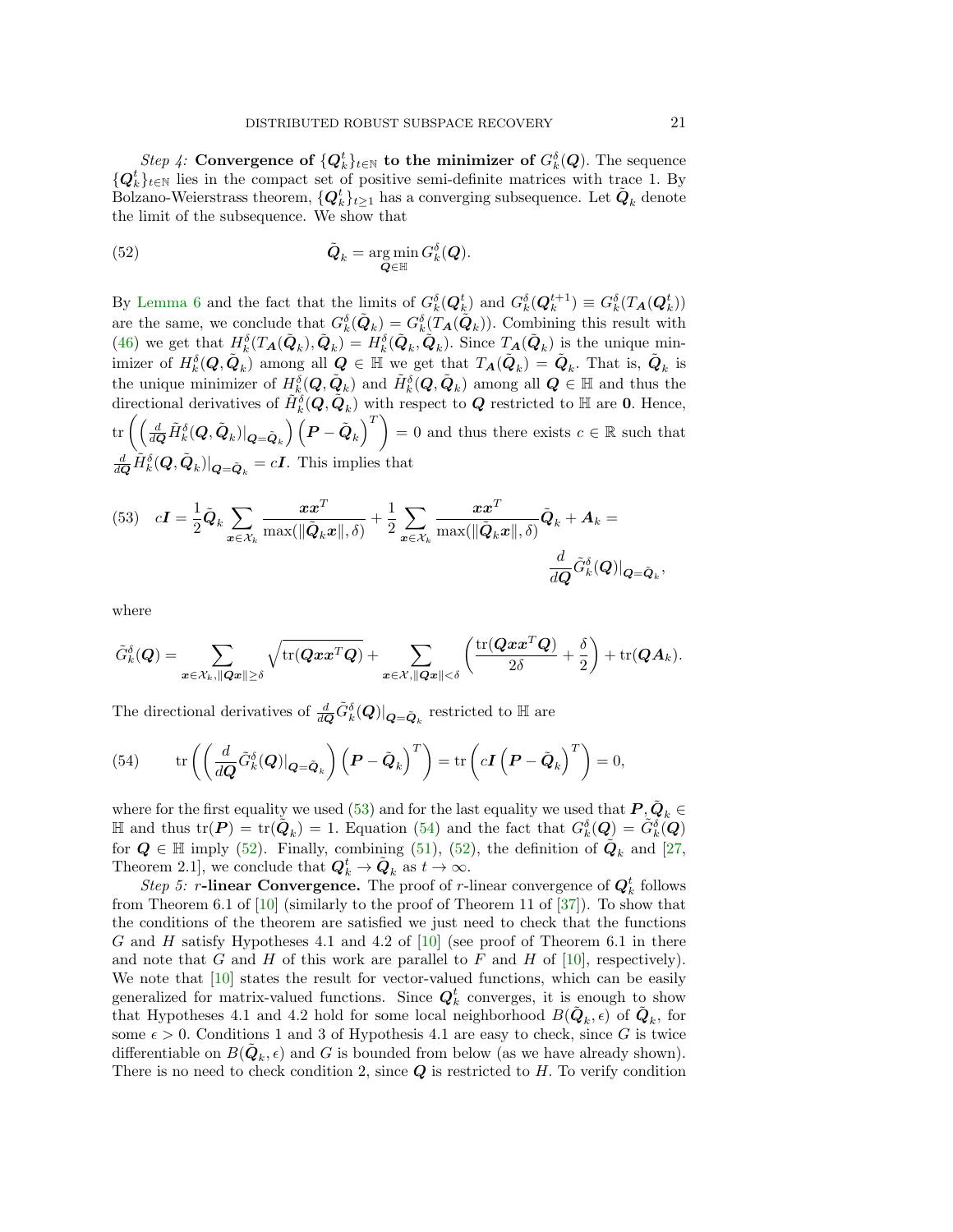Step 4: Convergence of  $\{Q_k^t\}_{t\in\mathbb{N}}$  to the minimizer of  $G_k^{\delta}(\mathbf{Q})$ . The sequence  ${Q_k^t}_{t\in\mathbb{N}}$  lies in the compact set of positive semi-definite matrices with trace 1. By Bolzano-Weierstrass theorem,  $\{Q_k^t\}_{t\geq 1}$  has a converging subsequence. Let  $\tilde{Q}_k$  denote the limit of the subsequence. We show that

<span id="page-20-2"></span>(52) 
$$
\tilde{\boldsymbol{Q}}_k = \operatorname*{arg\,min}_{\boldsymbol{Q} \in \mathbb{H}} G_k^{\delta}(\boldsymbol{Q}).
$$

By [Lemma 6](#page-17-7) and the fact that the limits of  $G_k^{\delta}(\boldsymbol{Q}_k^t)$  and  $G_k^{\delta}(\boldsymbol{Q}_k^{t+1}) \equiv G_k^{\delta}(T_{\boldsymbol{A}}(\boldsymbol{Q}_k^t))$ are the same, we conclude that  $G_k^{\delta}(\tilde{\boldsymbol{Q}}_k) = G_k^{\delta}(T_{\boldsymbol{A}}(\tilde{\boldsymbol{Q}}_k))$ . Combining this result with [\(46\)](#page-19-0) we get that  $H_k^{\delta}(T_{\boldsymbol{A}}(\tilde{\boldsymbol{Q}}_k), \tilde{\boldsymbol{Q}}_k) = H_k^{\delta}(\tilde{\boldsymbol{Q}}_k, \tilde{\boldsymbol{Q}}_k)$ . Since  $T_{\boldsymbol{A}}(\tilde{\boldsymbol{Q}}_k)$  is the unique minimizer of  $H_k^{\delta}(Q, \tilde{Q}_k)$  among all  $Q \in \mathbb{H}$  we get that  $T_A(\tilde{Q}_k) = \tilde{Q}_k$ . That is,  $\tilde{Q}_k$  is the unique minimizer of  $H_k^{\delta}(Q, \tilde{Q}_k)$  and  $\tilde{H}_k^{\delta}(Q, \tilde{Q}_k)$  among all  $Q \in \mathbb{H}$  and thus the directional derivatives of  $\tilde{H}_k^{\delta}(Q,\tilde{Q}_k)$  with respect to  $Q$  restricted to  $\mathbb H$  are 0. Hence,  $\mathrm{tr}\left(\left(\frac{d}{d\mathbf{Q}}\tilde{H}_{k}^{\delta}(\mathbf{Q},\tilde{\mathbf{Q}}_{k})|_{\mathbf{Q}=\tilde{\mathbf{Q}}_{k}}\right)\left(\mathbf{P}-\tilde{\mathbf{Q}}_{k}\right)^{T}\right)=0$  and thus there exists  $c\in\mathbb{R}$  such that  $\frac{d}{d\mathbf{Q}} \tilde{H}_k^{\delta}(\mathbf{Q}, \tilde{\mathbf{Q}}_k)|_{\mathbf{Q} = \tilde{\mathbf{Q}}_k} = c\mathbf{I}$ . This implies that

<span id="page-20-0"></span>(53) 
$$
cI = \frac{1}{2}\tilde{Q}_k \sum_{\mathbf{x} \in \mathcal{X}_k} \frac{\mathbf{x}\mathbf{x}^T}{\max(\|\tilde{Q}_k \mathbf{x}\|, \delta)} + \frac{1}{2} \sum_{\mathbf{x} \in \mathcal{X}_k} \frac{\mathbf{x}\mathbf{x}^T}{\max(\|\tilde{Q}_k \mathbf{x}\|, \delta)} \tilde{Q}_k + A_k = \frac{d}{dQ} \tilde{G}_k^{\delta}(Q)|_{Q = \tilde{Q}_k}
$$

where

$$
\tilde{G}_k^{\delta}(\mathbf{Q}) = \sum_{\mathbf{x} \in \mathcal{X}_k, ||\mathbf{Q}\mathbf{x}|| \geq \delta} \sqrt{\text{tr}(\mathbf{Q}\mathbf{x}\mathbf{x}^T\mathbf{Q})} + \sum_{\mathbf{x} \in \mathcal{X}, ||\mathbf{Q}\mathbf{x}|| < \delta} \left( \frac{\text{tr}(\mathbf{Q}\mathbf{x}\mathbf{x}^T\mathbf{Q})}{2\delta} + \frac{\delta}{2} \right) + \text{tr}(\mathbf{Q}\mathbf{A}_k).
$$

The directional derivatives of  $\frac{d}{dQ} \tilde{G}_k^{\delta}(Q)|_{Q=\tilde{Q}_k}$  restricted to  $\mathbb H$  are

<span id="page-20-1"></span>(54) 
$$
\operatorname{tr}\left(\left(\frac{d}{d\mathbf{Q}}\tilde{G}_{k}^{\delta}(\mathbf{Q})|_{\mathbf{Q}=\tilde{\mathbf{Q}}_{k}}\right)\left(\mathbf{P}-\tilde{\mathbf{Q}}_{k}\right)^{T}\right)=\operatorname{tr}\left(c\mathbf{I}\left(\mathbf{P}-\tilde{\mathbf{Q}}_{k}\right)^{T}\right)=0,
$$

where for the first equality we used [\(53\)](#page-20-0) and for the last equality we used that  $P,\tilde Q_k\in$  $\mathbb{H}$  and thus  $\text{tr}(\mathbf{P}) = \text{tr}(\tilde{\mathbf{Q}}_k) = 1$ . Equation [\(54\)](#page-20-1) and the fact that  $G_k^{\delta}(\mathbf{Q}) = \tilde{G}_k^{\delta}(\mathbf{Q})$ for  $Q \in \mathbb{H}$  imply [\(52\)](#page-20-2). Finally, combining [\(51\)](#page-19-4), (52), the definition of  $\tilde{Q}_k$  and [\[27,](#page-22-27) Theorem 2.1], we conclude that  $Q_k^t \to \tilde{Q}_k$  as  $t \to \infty$ .

Step 5: r-linear Convergence. The proof of r-linear convergence of  $Q_k^t$  follows from Theorem 6.1 of [\[10\]](#page-22-25) (similarly to the proof of Theorem 11 of [\[37\]](#page-23-4)). To show that the conditions of the theorem are satisfied we just need to check that the functions G and H satisfy Hypotheses 4.1 and 4.2 of  $[10]$  (see proof of Theorem 6.1 in there and note that G and H of this work are parallel to F and H of  $[10]$ , respectively). We note that [\[10\]](#page-22-25) states the result for vector-valued functions, which can be easily generalized for matrix-valued functions. Since  $Q_k^t$  converges, it is enough to show that Hypotheses 4.1 and 4.2 hold for some local neighborhood  $B(\tilde{\boldsymbol{Q}}_k, \epsilon)$  of  $\tilde{\boldsymbol{Q}}_k$ , for some  $\epsilon > 0$ . Conditions 1 and 3 of Hypothesis 4.1 are easy to check, since G is twice differentiable on  $B(\tilde{\mathbf{Q}}_k, \epsilon)$  and G is bounded from below (as we have already shown). There is no need to check condition 2, since  $Q$  is restricted to  $H$ . To verify condition

,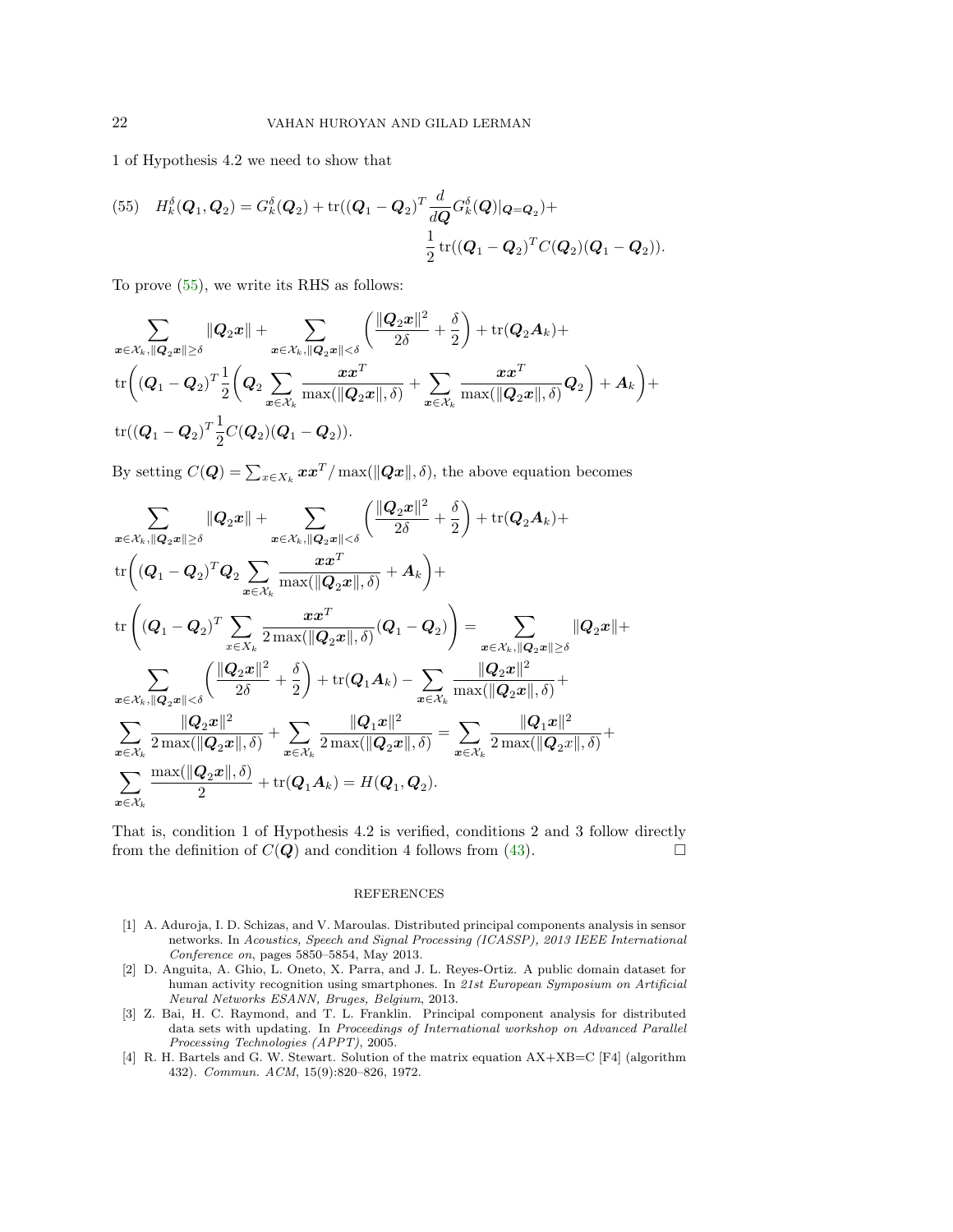1 of Hypothesis 4.2 we need to show that

<span id="page-21-4"></span>(55) 
$$
H_k^{\delta}(\mathbf{Q}_1, \mathbf{Q}_2) = G_k^{\delta}(\mathbf{Q}_2) + \text{tr}((\mathbf{Q}_1 - \mathbf{Q}_2)^T \frac{d}{d\mathbf{Q}} G_k^{\delta}(\mathbf{Q})|_{\mathbf{Q} = \mathbf{Q}_2}) + \frac{1}{2} \text{tr}((\mathbf{Q}_1 - \mathbf{Q}_2)^T C(\mathbf{Q}_2)(\mathbf{Q}_1 - \mathbf{Q}_2)).
$$

To prove [\(55\)](#page-21-4), we write its RHS as follows:

$$
\begin{aligned}&\sum_{\mathbf{x}\in\mathcal{X}_{k},\parallel\mathbf{Q}_{2}\mathbf{x}\parallel+\sum_{\mathbf{x}\in\mathcal{X}_{k},\parallel\mathbf{Q}_{2}\mathbf{x}\parallel<\delta}\left(\frac{\Vert\mathbf{Q}_{2}\mathbf{x}\Vert^{2}}{2\delta}+\frac{\delta}{2}\right)+\mathrm{tr}(\mathbf{Q}_{2}\mathbf{A}_{k})+\\&\mathrm{tr}\bigg((\mathbf{Q}_{1}-\mathbf{Q}_{2})^{T}\frac{1}{2}\bigg(\mathbf{Q}_{2}\sum_{\mathbf{x}\in\mathcal{X}_{k}}\frac{\mathbf{x}\mathbf{x}^{T}}{\max(\Vert\mathbf{Q}_{2}\mathbf{x}\Vert,\delta)}+\sum_{\mathbf{x}\in\mathcal{X}_{k}}\frac{\mathbf{x}\mathbf{x}^{T}}{\max(\Vert\mathbf{Q}_{2}\mathbf{x}\Vert,\delta)}\mathbf{Q}_{2}\bigg)+\mathbf{A}_{k}\bigg)+\\&\mathrm{tr}((\mathbf{Q}_{1}-\mathbf{Q}_{2})^{T}\frac{1}{2}C(\mathbf{Q}_{2})(\mathbf{Q}_{1}-\mathbf{Q}_{2})).\end{aligned}
$$

By setting  $C(\mathbf{Q}) = \sum_{x \in X_k} x x^T / \max(||\mathbf{Qx}||, \delta)$ , the above equation becomes

$$
\begin{split} & \sum_{\bm{x}\in\mathcal{X}_{k},\|\bm{Q}_{2}\bm{x}\|=\delta}\|\bm{Q}_{2}\bm{x}\|+\sum_{\bm{x}\in\mathcal{X}_{k},\|\bm{Q}_{2}\bm{x}\|<\delta}\left(\frac{\|\bm{Q}_{2}\bm{x}\|^{2}}{2\delta}+\frac{\delta}{2}\right)+\mathrm{tr}(\bm{Q}_{2}\bm{A}_{k})+\\ & \mathrm{tr}\bigg((\bm{Q}_{1}-\bm{Q}_{2})^{T}\bm{Q}_{2}\sum_{\bm{x}\in\mathcal{X}_{k}}\frac{\bm{x}\bm{x}^{T}}{\max(\|\bm{Q}_{2}\bm{x}\|,\delta)}+\bm{A}_{k}\bigg)+\\ & \mathrm{tr}\bigg((\bm{Q}_{1}-\bm{Q}_{2})^{T}\sum_{\bm{x}\in\mathcal{X}_{k}}\frac{\bm{x}\bm{x}^{T}}{2\max(\|\bm{Q}_{2}\bm{x}\|,\delta)}(\bm{Q}_{1}-\bm{Q}_{2})\bigg)=\sum_{\bm{x}\in\mathcal{X}_{k},\|\bm{Q}_{2}\bm{x}\|\ge\delta}\|\bm{Q}_{2}\bm{x}\|+\\ & \sum_{\bm{x}\in\mathcal{X}_{k},\|\bm{Q}_{2}\bm{x}\|<\delta}\bigg(\frac{\|\bm{Q}_{2}\bm{x}\|^{2}}{2\delta}+\frac{\delta}{2}\bigg)+\mathrm{tr}(\bm{Q}_{1}\bm{A}_{k})-\sum_{\bm{x}\in\mathcal{X}_{k}}\frac{\|\bm{Q}_{2}\bm{x}\|^{2}}{\max(\|\bm{Q}_{2}\bm{x}\|,\delta)}+\\ & \sum_{\bm{x}\in\mathcal{X}_{k}}\frac{\|\bm{Q}_{2}\bm{x}\|^{2}}{2\max(\|\bm{Q}_{2}\bm{x}\|,\delta)}+\sum_{\bm{x}\in\mathcal{X}_{k}}\frac{\|\bm{Q}_{1}\bm{x}\|^{2}}{2\max(\|\bm{Q}_{2}\bm{x}\|,\delta)}=\sum_{\bm{x}\in\mathcal{X}_{k}}\frac{\|\bm{Q}_{1}\bm{x}\|^{2}}{2\max(\|\bm{Q}_{2}\bm{x}\|,\delta)}+\\ & \sum_{\bm{x}\in\mathcal{X}_{k}}\frac{\max(\|\bm{Q}_{2}\bm{x}\|,\delta)}{2}+\mathrm{tr}(\bm{Q}_{1}\bm{A}_{k})=\textit{H}(\bm{Q}_{1},\bm{Q}_{2}). \end{split}
$$

That is, condition 1 of Hypothesis 4.2 is verified, conditions 2 and 3 follow directly from the definition of  $C(Q)$  and condition 4 follows from [\(43\)](#page-18-2).

### REFERENCES

- <span id="page-21-1"></span>[1] A. Aduroja, I. D. Schizas, and V. Maroulas. Distributed principal components analysis in sensor networks. In Acoustics, Speech and Signal Processing (ICASSP), 2013 IEEE International Conference on, pages 5850–5854, May 2013.
- <span id="page-21-3"></span>[2] D. Anguita, A. Ghio, L. Oneto, X. Parra, and J. L. Reyes-Ortiz. A public domain dataset for human activity recognition using smartphones. In 21st European Symposium on Artificial Neural Networks ESANN, Bruges, Belgium, 2013.
- <span id="page-21-0"></span>[3] Z. Bai, H. C. Raymond, and T. L. Franklin. Principal component analysis for distributed data sets with updating. In Proceedings of International workshop on Advanced Parallel Processing Technologies (APPT), 2005.
- <span id="page-21-2"></span>[4] R. H. Bartels and G. W. Stewart. Solution of the matrix equation AX+XB=C [F4] (algorithm 432). Commun. ACM, 15(9):820–826, 1972.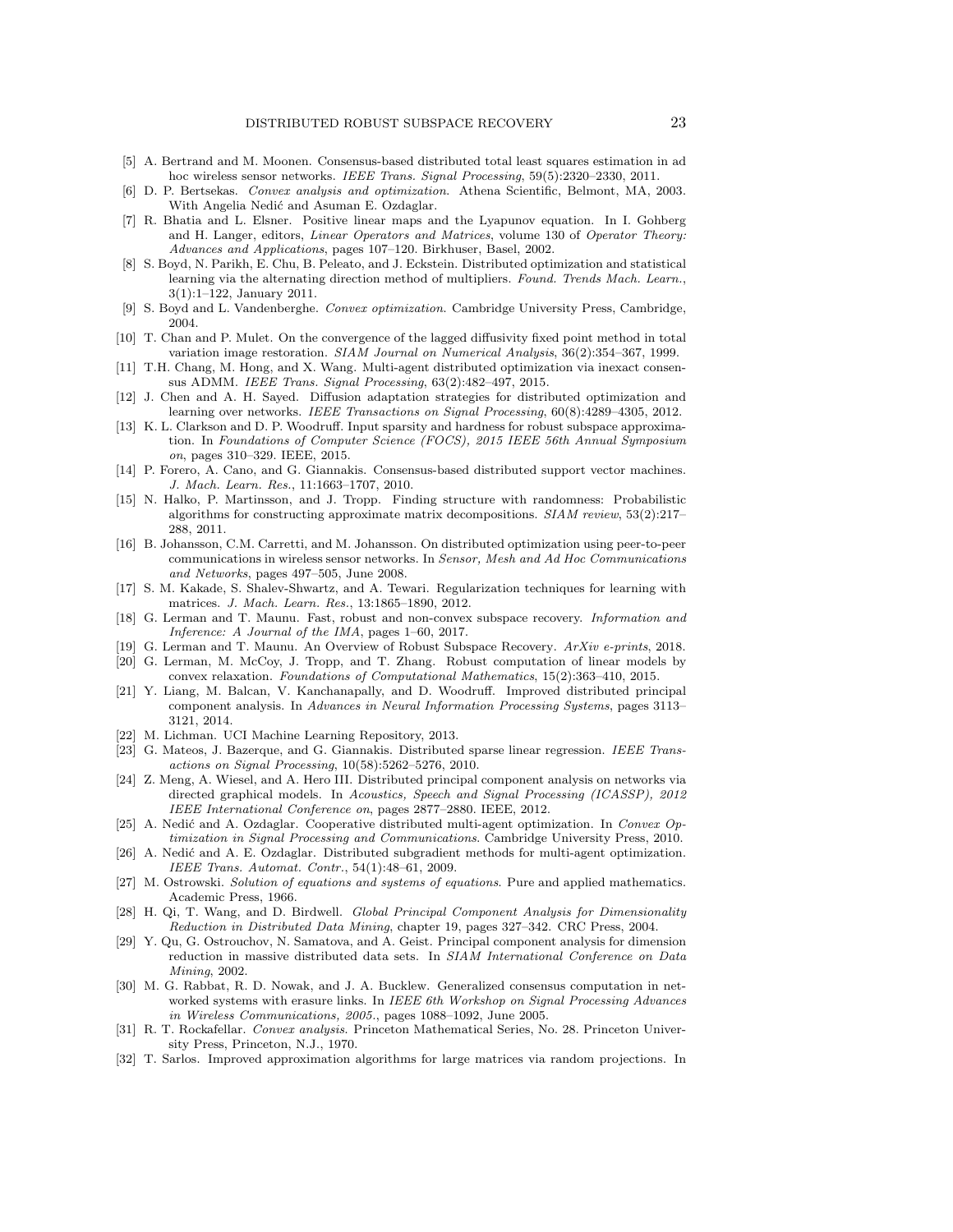- <span id="page-22-1"></span>[5] A. Bertrand and M. Moonen. Consensus-based distributed total least squares estimation in ad hoc wireless sensor networks. IEEE Trans. Signal Processing, 59(5):2320–2330, 2011.
- <span id="page-22-17"></span>[6] D. P. Bertsekas. Convex analysis and optimization. Athena Scientific, Belmont, MA, 2003. With Angelia Nedić and Asuman E. Ozdaglar.
- <span id="page-22-26"></span>[7] R. Bhatia and L. Elsner. Positive linear maps and the Lyapunov equation. In I. Gohberg and H. Langer, editors, Linear Operators and Matrices, volume 130 of Operator Theory: Advances and Applications, pages 107–120. Birkhuser, Basel, 2002.
- <span id="page-22-2"></span>[8] S. Boyd, N. Parikh, E. Chu, B. Peleato, and J. Eckstein. Distributed optimization and statistical learning via the alternating direction method of multipliers. Found. Trends Mach. Learn., 3(1):1–122, January 2011.
- <span id="page-22-19"></span>[9] S. Boyd and L. Vandenberghe. Convex optimization. Cambridge University Press, Cambridge, 2004.
- <span id="page-22-25"></span>[10] T. Chan and P. Mulet. On the convergence of the lagged diffusivity fixed point method in total variation image restoration. SIAM Journal on Numerical Analysis, 36(2):354-367, 1999.
- <span id="page-22-7"></span>[11] T.H. Chang, M. Hong, and X. Wang. Multi-agent distributed optimization via inexact consensus ADMM. IEEE Trans. Signal Processing, 63(2):482–497, 2015.
- <span id="page-22-0"></span>[12] J. Chen and A. H. Sayed. Diffusion adaptation strategies for distributed optimization and learning over networks. IEEE Transactions on Signal Processing, 60(8):4289–4305, 2012.
- <span id="page-22-20"></span>[13] K. L. Clarkson and D. P. Woodruff. Input sparsity and hardness for robust subspace approximation. In Foundations of Computer Science (FOCS), 2015 IEEE 56th Annual Symposium on, pages 310–329. IEEE, 2015.
- <span id="page-22-9"></span>[14] P. Forero, A. Cano, and G. Giannakis. Consensus-based distributed support vector machines. J. Mach. Learn. Res., 11:1663–1707, 2010.
- <span id="page-22-21"></span>[15] N. Halko, P. Martinsson, and J. Tropp. Finding structure with randomness: Probabilistic algorithms for constructing approximate matrix decompositions. SIAM review, 53(2):217– 288, 2011.
- <span id="page-22-3"></span>[16] B. Johansson, C.M. Carretti, and M. Johansson. On distributed optimization using peer-to-peer communications in wireless sensor networks. In Sensor, Mesh and Ad Hoc Communications and Networks, pages 497–505, June 2008.
- <span id="page-22-24"></span>[17] S. M. Kakade, S. Shalev-Shwartz, and A. Tewari. Regularization techniques for learning with matrices. J. Mach. Learn. Res., 13:1865–1890, 2012.
- <span id="page-22-16"></span>[18] G. Lerman and T. Maunu. Fast, robust and non-convex subspace recovery. Information and Inference: A Journal of the IMA, pages 1–60, 2017.
- <span id="page-22-14"></span>[19] G. Lerman and T. Maunu. An Overview of Robust Subspace Recovery.  $ArXiv$  e-prints, 2018.
- <span id="page-22-15"></span>[20] G. Lerman, M. McCoy, J. Tropp, and T. Zhang. Robust computation of linear models by convex relaxation. Foundations of Computational Mathematics, 15(2):363–410, 2015.
- <span id="page-22-10"></span>[21] Y. Liang, M. Balcan, V. Kanchanapally, and D. Woodruff. Improved distributed principal component analysis. In Advances in Neural Information Processing Systems, pages 3113– 3121, 2014.
- <span id="page-22-22"></span>[22] M. Lichman. UCI Machine Learning Repository, 2013.
- <span id="page-22-8"></span>[23] G. Mateos, J. Bazerque, and G. Giannakis. Distributed sparse linear regression. IEEE Transactions on Signal Processing, 10(58):5262–5276, 2010.
- <span id="page-22-11"></span>[24] Z. Meng, A. Wiesel, and A. Hero III. Distributed principal component analysis on networks via directed graphical models. In Acoustics, Speech and Signal Processing (ICASSP), 2012 IEEE International Conference on, pages 2877–2880. IEEE, 2012.
- <span id="page-22-5"></span>[25] A. Nedić and A. Ozdaglar. Cooperative distributed multi-agent optimization. In Convex Optimization in Signal Processing and Communications. Cambridge University Press, 2010.
- <span id="page-22-6"></span>[26] A. Nedić and A. E. Ozdaglar. Distributed subgradient methods for multi-agent optimization. IEEE Trans. Automat. Contr., 54(1):48–61, 2009.
- <span id="page-22-27"></span>[27] M. Ostrowski. Solution of equations and systems of equations. Pure and applied mathematics. Academic Press, 1966.
- <span id="page-22-12"></span>[28] H. Qi, T. Wang, and D. Birdwell. Global Principal Component Analysis for Dimensionality Reduction in Distributed Data Mining, chapter 19, pages 327–342. CRC Press, 2004.
- <span id="page-22-13"></span>[29] Y. Qu, G. Ostrouchov, N. Samatova, and A. Geist. Principal component analysis for dimension reduction in massive distributed data sets. In SIAM International Conference on Data Mining, 2002.
- <span id="page-22-4"></span>[30] M. G. Rabbat, R. D. Nowak, and J. A. Bucklew. Generalized consensus computation in networked systems with erasure links. In IEEE 6th Workshop on Signal Processing Advances in Wireless Communications, 2005., pages 1088–1092, June 2005.
- <span id="page-22-18"></span>[31] R. T. Rockafellar. Convex analysis. Princeton Mathematical Series, No. 28. Princeton University Press, Princeton, N.J., 1970.
- <span id="page-22-23"></span>[32] T. Sarlos. Improved approximation algorithms for large matrices via random projections. In